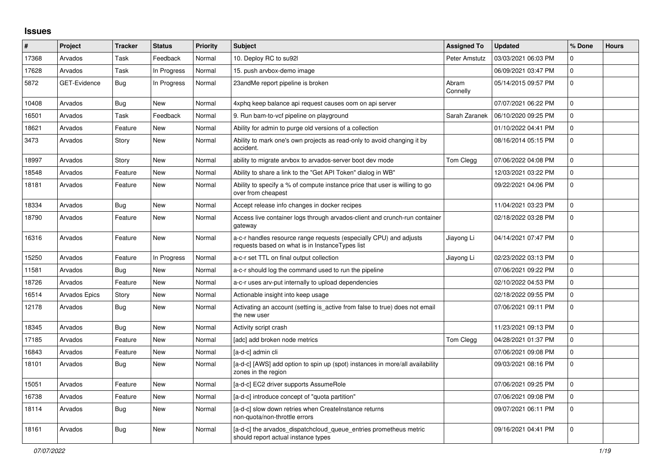## **Issues**

| #     | Project       | <b>Tracker</b> | <b>Status</b> | <b>Priority</b> | <b>Subject</b>                                                                                                        | <b>Assigned To</b> | <b>Updated</b>      | % Done      | <b>Hours</b> |
|-------|---------------|----------------|---------------|-----------------|-----------------------------------------------------------------------------------------------------------------------|--------------------|---------------------|-------------|--------------|
| 17368 | Arvados       | Task           | Feedback      | Normal          | 10. Deploy RC to su92l                                                                                                | Peter Amstutz      | 03/03/2021 06:03 PM | $\Omega$    |              |
| 17628 | Arvados       | Task           | In Progress   | Normal          | 15. push arvbox-demo image                                                                                            |                    | 06/09/2021 03:47 PM | $\mathbf 0$ |              |
| 5872  | GET-Evidence  | Bug            | In Progress   | Normal          | 23andMe report pipeline is broken                                                                                     | Abram<br>Connelly  | 05/14/2015 09:57 PM | $\mathbf 0$ |              |
| 10408 | Arvados       | Bug            | <b>New</b>    | Normal          | 4xphq keep balance api request causes oom on api server                                                               |                    | 07/07/2021 06:22 PM | $\mathbf 0$ |              |
| 16501 | Arvados       | Task           | Feedback      | Normal          | 9. Run bam-to-vcf pipeline on playground                                                                              | Sarah Zaranek      | 06/10/2020 09:25 PM | $\Omega$    |              |
| 18621 | Arvados       | Feature        | <b>New</b>    | Normal          | Ability for admin to purge old versions of a collection                                                               |                    | 01/10/2022 04:41 PM | 0           |              |
| 3473  | Arvados       | Story          | New           | Normal          | Ability to mark one's own projects as read-only to avoid changing it by<br>accident.                                  |                    | 08/16/2014 05:15 PM | $\mathbf 0$ |              |
| 18997 | Arvados       | Story          | <b>New</b>    | Normal          | ability to migrate arvbox to arvados-server boot dev mode                                                             | Tom Clegg          | 07/06/2022 04:08 PM | $\mathbf 0$ |              |
| 18548 | Arvados       | Feature        | New           | Normal          | Ability to share a link to the "Get API Token" dialog in WB"                                                          |                    | 12/03/2021 03:22 PM | $\mathbf 0$ |              |
| 18181 | Arvados       | Feature        | <b>New</b>    | Normal          | Ability to specify a % of compute instance price that user is willing to go<br>over from cheapest                     |                    | 09/22/2021 04:06 PM | $\mathbf 0$ |              |
| 18334 | Arvados       | Bug            | <b>New</b>    | Normal          | Accept release info changes in docker recipes                                                                         |                    | 11/04/2021 03:23 PM | $\mathbf 0$ |              |
| 18790 | Arvados       | Feature        | <b>New</b>    | Normal          | Access live container logs through arvados-client and crunch-run container<br>gateway                                 |                    | 02/18/2022 03:28 PM | $\mathbf 0$ |              |
| 16316 | Arvados       | Feature        | <b>New</b>    | Normal          | a-c-r handles resource range requests (especially CPU) and adjusts<br>requests based on what is in InstanceTypes list | Jiayong Li         | 04/14/2021 07:47 PM | $\mathbf 0$ |              |
| 15250 | Arvados       | Feature        | In Progress   | Normal          | a-c-r set TTL on final output collection                                                                              | Jiayong Li         | 02/23/2022 03:13 PM | $\mathbf 0$ |              |
| 11581 | Arvados       | Bug            | New           | Normal          | a-c-r should log the command used to run the pipeline                                                                 |                    | 07/06/2021 09:22 PM | 0           |              |
| 18726 | Arvados       | Feature        | <b>New</b>    | Normal          | a-c-r uses arv-put internally to upload dependencies                                                                  |                    | 02/10/2022 04:53 PM | $\mathbf 0$ |              |
| 16514 | Arvados Epics | Story          | <b>New</b>    | Normal          | Actionable insight into keep usage                                                                                    |                    | 02/18/2022 09:55 PM | 0           |              |
| 12178 | Arvados       | Bug            | <b>New</b>    | Normal          | Activating an account (setting is active from false to true) does not email<br>the new user                           |                    | 07/06/2021 09:11 PM | $\mathbf 0$ |              |
| 18345 | Arvados       | Bug            | <b>New</b>    | Normal          | Activity script crash                                                                                                 |                    | 11/23/2021 09:13 PM | $\mathbf 0$ |              |
| 17185 | Arvados       | Feature        | New           | Normal          | [adc] add broken node metrics                                                                                         | Tom Clegg          | 04/28/2021 01:37 PM | $\mathbf 0$ |              |
| 16843 | Arvados       | Feature        | New           | Normal          | [a-d-c] admin cli                                                                                                     |                    | 07/06/2021 09:08 PM | $\mathbf 0$ |              |
| 18101 | Arvados       | <b>Bug</b>     | New           | Normal          | [a-d-c] [AWS] add option to spin up (spot) instances in more/all availability<br>zones in the region                  |                    | 09/03/2021 08:16 PM | 0           |              |
| 15051 | Arvados       | Feature        | <b>New</b>    | Normal          | [a-d-c] EC2 driver supports AssumeRole                                                                                |                    | 07/06/2021 09:25 PM | $\mathbf 0$ |              |
| 16738 | Arvados       | Feature        | <b>New</b>    | Normal          | [a-d-c] introduce concept of "quota partition"                                                                        |                    | 07/06/2021 09:08 PM | $\mathbf 0$ |              |
| 18114 | Arvados       | Bug            | New           | Normal          | [a-d-c] slow down retries when CreateInstance returns<br>non-quota/non-throttle errors                                |                    | 09/07/2021 06:11 PM | $\mathbf 0$ |              |
| 18161 | Arvados       | <b>Bug</b>     | <b>New</b>    | Normal          | [a-d-c] the arvados_dispatchcloud_queue_entries prometheus metric<br>should report actual instance types              |                    | 09/16/2021 04:41 PM | $\Omega$    |              |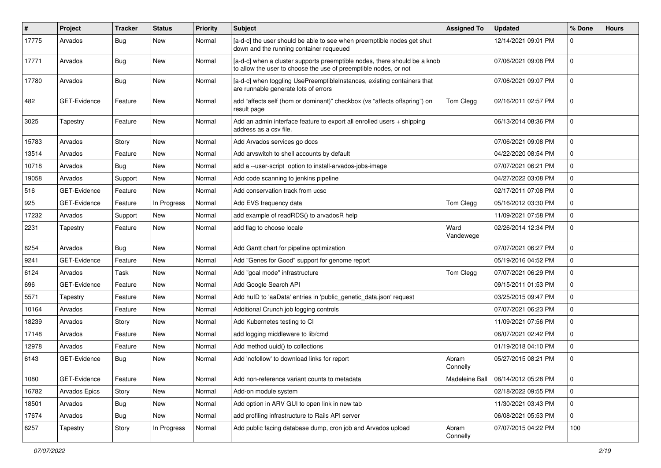| $\pmb{\#}$ | Project             | <b>Tracker</b> | <b>Status</b> | <b>Priority</b> | <b>Subject</b>                                                                                                                                | <b>Assigned To</b> | <b>Updated</b>      | % Done       | <b>Hours</b> |
|------------|---------------------|----------------|---------------|-----------------|-----------------------------------------------------------------------------------------------------------------------------------------------|--------------------|---------------------|--------------|--------------|
| 17775      | Arvados             | <b>Bug</b>     | New           | Normal          | [a-d-c] the user should be able to see when preemptible nodes get shut<br>down and the running container requeued                             |                    | 12/14/2021 09:01 PM | $\mathbf{0}$ |              |
| 17771      | Arvados             | Bug            | <b>New</b>    | Normal          | [a-d-c] when a cluster supports preemptible nodes, there should be a knob<br>to allow the user to choose the use of preemptible nodes, or not |                    | 07/06/2021 09:08 PM | 0            |              |
| 17780      | Arvados             | Bug            | <b>New</b>    | Normal          | [a-d-c] when toggling UsePreemptibleInstances, existing containers that<br>are runnable generate lots of errors                               |                    | 07/06/2021 09:07 PM | 0            |              |
| 482        | GET-Evidence        | Feature        | New           | Normal          | add "affects self (hom or dominant)" checkbox (vs "affects offspring") on<br>result page                                                      | Tom Clegg          | 02/16/2011 02:57 PM | $\mathbf 0$  |              |
| 3025       | Tapestry            | Feature        | New           | Normal          | Add an admin interface feature to export all enrolled users $+$ shipping<br>address as a csv file.                                            |                    | 06/13/2014 08:36 PM | $\mathbf 0$  |              |
| 15783      | Arvados             | Story          | New           | Normal          | Add Arvados services go docs                                                                                                                  |                    | 07/06/2021 09:08 PM | 0            |              |
| 13514      | Arvados             | Feature        | New           | Normal          | Add arvswitch to shell accounts by default                                                                                                    |                    | 04/22/2020 08:54 PM | 0            |              |
| 10718      | Arvados             | Bug            | <b>New</b>    | Normal          | add a --user-script option to install-arvados-jobs-image                                                                                      |                    | 07/07/2021 06:21 PM | $\mathbf 0$  |              |
| 19058      | Arvados             | Support        | New           | Normal          | Add code scanning to jenkins pipeline                                                                                                         |                    | 04/27/2022 03:08 PM | 0            |              |
| 516        | <b>GET-Evidence</b> | Feature        | New           | Normal          | Add conservation track from ucsc                                                                                                              |                    | 02/17/2011 07:08 PM | $\pmb{0}$    |              |
| 925        | <b>GET-Evidence</b> | Feature        | In Progress   | Normal          | Add EVS frequency data                                                                                                                        | Tom Clegg          | 05/16/2012 03:30 PM | 0            |              |
| 17232      | Arvados             | Support        | New           | Normal          | add example of readRDS() to arvadosR help                                                                                                     |                    | 11/09/2021 07:58 PM | $\mathbf 0$  |              |
| 2231       | Tapestry            | Feature        | New           | Normal          | add flag to choose locale                                                                                                                     | Ward<br>Vandewege  | 02/26/2014 12:34 PM | $\mathbf 0$  |              |
| 8254       | Arvados             | Bug            | New           | Normal          | Add Gantt chart for pipeline optimization                                                                                                     |                    | 07/07/2021 06:27 PM | 0            |              |
| 9241       | GET-Evidence        | Feature        | New           | Normal          | Add "Genes for Good" support for genome report                                                                                                |                    | 05/19/2016 04:52 PM | $\mathbf 0$  |              |
| 6124       | Arvados             | Task           | New           | Normal          | Add "goal mode" infrastructure                                                                                                                | Tom Clegg          | 07/07/2021 06:29 PM | 0            |              |
| 696        | <b>GET-Evidence</b> | Feature        | New           | Normal          | Add Google Search API                                                                                                                         |                    | 09/15/2011 01:53 PM | $\pmb{0}$    |              |
| 5571       | Tapestry            | Feature        | New           | Normal          | Add hulD to 'aaData' entries in 'public_genetic_data.json' request                                                                            |                    | 03/25/2015 09:47 PM | 0            |              |
| 10164      | Arvados             | Feature        | New           | Normal          | Additional Crunch job logging controls                                                                                                        |                    | 07/07/2021 06:23 PM | $\mathbf 0$  |              |
| 18239      | Arvados             | Story          | New           | Normal          | Add Kubernetes testing to CI                                                                                                                  |                    | 11/09/2021 07:56 PM | $\mathbf 0$  |              |
| 17148      | Arvados             | Feature        | New           | Normal          | add logging middleware to lib/cmd                                                                                                             |                    | 06/07/2021 02:42 PM | 0            |              |
| 12978      | Arvados             | Feature        | New           | Normal          | Add method uuid() to collections                                                                                                              |                    | 01/19/2018 04:10 PM | $\mathbf 0$  |              |
| 6143       | <b>GET-Evidence</b> | Bug            | New           | Normal          | Add 'nofollow' to download links for report                                                                                                   | Abram<br>Connelly  | 05/27/2015 08:21 PM | $\mathbf 0$  |              |
| 1080       | GET-Evidence        | Feature        | <b>New</b>    | Normal          | Add non-reference variant counts to metadata                                                                                                  | Madeleine Ball     | 08/14/2012 05:28 PM | 0            |              |
| 16782      | Arvados Epics       | Story          | New           | Normal          | Add-on module system                                                                                                                          |                    | 02/18/2022 09:55 PM | 0            |              |
| 18501      | Arvados             | Bug            | New           | Normal          | Add option in ARV GUI to open link in new tab                                                                                                 |                    | 11/30/2021 03:43 PM | 0            |              |
| 17674      | Arvados             | Bug            | New           | Normal          | add profiling infrastructure to Rails API server                                                                                              |                    | 06/08/2021 05:53 PM | $\mathbf 0$  |              |
| 6257       | Tapestry            | Story          | In Progress   | Normal          | Add public facing database dump, cron job and Arvados upload                                                                                  | Abram<br>Connelly  | 07/07/2015 04:22 PM | 100          |              |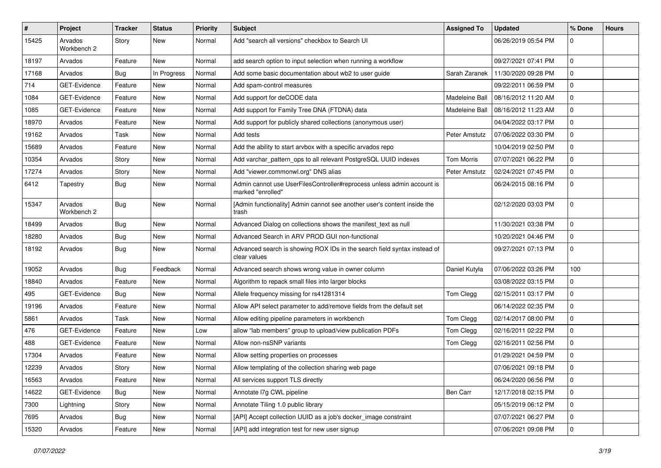| #     | Project                | <b>Tracker</b> | <b>Status</b> | <b>Priority</b> | <b>Subject</b>                                                                              | <b>Assigned To</b> | <b>Updated</b>      | % Done         | <b>Hours</b> |
|-------|------------------------|----------------|---------------|-----------------|---------------------------------------------------------------------------------------------|--------------------|---------------------|----------------|--------------|
| 15425 | Arvados<br>Workbench 2 | Story          | <b>New</b>    | Normal          | Add "search all versions" checkbox to Search UI                                             |                    | 06/26/2019 05:54 PM | $\mathbf 0$    |              |
| 18197 | Arvados                | Feature        | <b>New</b>    | Normal          | add search option to input selection when running a workflow                                |                    | 09/27/2021 07:41 PM | $\mathbf 0$    |              |
| 17168 | Arvados                | Bug            | In Progress   | Normal          | Add some basic documentation about wb2 to user guide                                        | Sarah Zaranek      | 11/30/2020 09:28 PM | $\mathbf 0$    |              |
| 714   | GET-Evidence           | Feature        | <b>New</b>    | Normal          | Add spam-control measures                                                                   |                    | 09/22/2011 06:59 PM | $\mathbf 0$    |              |
| 1084  | GET-Evidence           | Feature        | New           | Normal          | Add support for deCODE data                                                                 | Madeleine Ball     | 08/16/2012 11:20 AM | $\mathbf 0$    |              |
| 1085  | GET-Evidence           | Feature        | <b>New</b>    | Normal          | Add support for Family Tree DNA (FTDNA) data                                                | Madeleine Ball     | 08/16/2012 11:23 AM | $\mathbf 0$    |              |
| 18970 | Arvados                | Feature        | New           | Normal          | Add support for publicly shared collections (anonymous user)                                |                    | 04/04/2022 03:17 PM | 0              |              |
| 19162 | Arvados                | Task           | <b>New</b>    | Normal          | Add tests                                                                                   | Peter Amstutz      | 07/06/2022 03:30 PM | $\mathbf 0$    |              |
| 15689 | Arvados                | Feature        | <b>New</b>    | Normal          | Add the ability to start arvbox with a specific arvados repo                                |                    | 10/04/2019 02:50 PM | 0              |              |
| 10354 | Arvados                | Story          | New           | Normal          | Add varchar_pattern_ops to all relevant PostgreSQL UUID indexes                             | Tom Morris         | 07/07/2021 06:22 PM | 0              |              |
| 17274 | Arvados                | Story          | <b>New</b>    | Normal          | Add "viewer.commonwl.org" DNS alias                                                         | Peter Amstutz      | 02/24/2021 07:45 PM | $\mathbf 0$    |              |
| 6412  | Tapestry               | <b>Bug</b>     | New           | Normal          | Admin cannot use UserFilesController#reprocess unless admin account is<br>marked "enrolled" |                    | 06/24/2015 08:16 PM | $\mathbf 0$    |              |
| 15347 | Arvados<br>Workbench 2 | Bug            | <b>New</b>    | Normal          | [Admin functionality] Admin cannot see another user's content inside the<br>trash           |                    | 02/12/2020 03:03 PM | $\mathbf 0$    |              |
| 18499 | Arvados                | <b>Bug</b>     | <b>New</b>    | Normal          | Advanced Dialog on collections shows the manifest_text as null                              |                    | 11/30/2021 03:38 PM | $\mathbf 0$    |              |
| 18280 | Arvados                | <b>Bug</b>     | <b>New</b>    | Normal          | Advanced Search in ARV PROD GUI non-functional                                              |                    | 10/20/2021 04:46 PM | $\mathbf 0$    |              |
| 18192 | Arvados                | <b>Bug</b>     | <b>New</b>    | Normal          | Advanced search is showing ROX IDs in the search field syntax instead of<br>clear values    |                    | 09/27/2021 07:13 PM | $\mathbf 0$    |              |
| 19052 | Arvados                | <b>Bug</b>     | Feedback      | Normal          | Advanced search shows wrong value in owner column                                           | Daniel Kutyła      | 07/06/2022 03:26 PM | 100            |              |
| 18840 | Arvados                | Feature        | <b>New</b>    | Normal          | Algorithm to repack small files into larger blocks                                          |                    | 03/08/2022 03:15 PM | $\mathbf 0$    |              |
| 495   | GET-Evidence           | <b>Bug</b>     | <b>New</b>    | Normal          | Allele frequency missing for rs41281314                                                     | Tom Clegg          | 02/15/2011 03:17 PM | $\mathbf 0$    |              |
| 19196 | Arvados                | Feature        | New           | Normal          | Allow API select parameter to add/remove fields from the default set                        |                    | 06/14/2022 02:35 PM | $\mathbf 0$    |              |
| 5861  | Arvados                | Task           | <b>New</b>    | Normal          | Allow editing pipeline parameters in workbench                                              | Tom Clegg          | 02/14/2017 08:00 PM | $\mathbf 0$    |              |
| 476   | GET-Evidence           | Feature        | <b>New</b>    | Low             | allow "lab members" group to upload/view publication PDFs                                   | Tom Clegg          | 02/16/2011 02:22 PM | $\mathbf 0$    |              |
| 488   | GET-Evidence           | Feature        | New           | Normal          | Allow non-nsSNP variants                                                                    | Tom Clegg          | 02/16/2011 02:56 PM | $\mathbf 0$    |              |
| 17304 | Arvados                | Feature        | <b>New</b>    | Normal          | Allow setting properties on processes                                                       |                    | 01/29/2021 04:59 PM | $\mathbf 0$    |              |
| 12239 | Arvados                | Story          | New           | Normal          | Allow templating of the collection sharing web page                                         |                    | 07/06/2021 09:18 PM | $\mathbf 0$    |              |
| 16563 | Arvados                | Feature        | New           | Normal          | All services support TLS directly                                                           |                    | 06/24/2020 06:56 PM | l 0            |              |
| 14622 | GET-Evidence           | <b>Bug</b>     | New           | Normal          | Annotate I7g CWL pipeline                                                                   | Ben Carr           | 12/17/2018 02:15 PM | $\overline{0}$ |              |
| 7300  | Lightning              | Story          | New           | Normal          | Annotate Tiling 1.0 public library                                                          |                    | 05/15/2019 06:12 PM | $\mathbf 0$    |              |
| 7695  | Arvados                | <b>Bug</b>     | New           | Normal          | [API] Accept collection UUID as a job's docker_image constraint                             |                    | 07/07/2021 06:27 PM | $\overline{0}$ |              |
| 15320 | Arvados                | Feature        | New           | Normal          | [API] add integration test for new user signup                                              |                    | 07/06/2021 09:08 PM | $\overline{0}$ |              |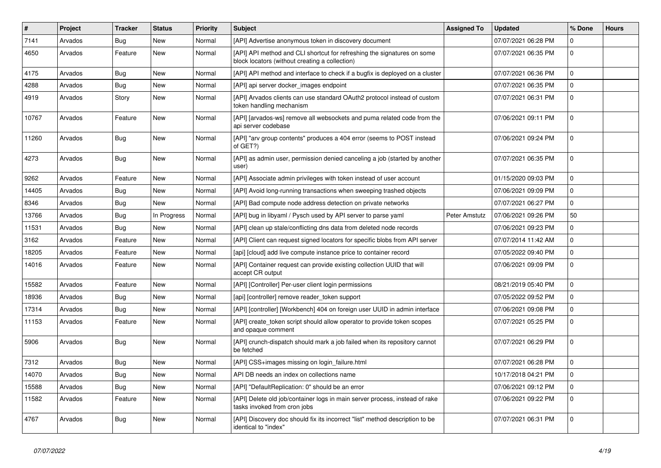| $\vert$ # | Project | <b>Tracker</b> | <b>Status</b> | Priority | <b>Subject</b>                                                                                                            | <b>Assigned To</b>   | <b>Updated</b>      | % Done      | <b>Hours</b> |
|-----------|---------|----------------|---------------|----------|---------------------------------------------------------------------------------------------------------------------------|----------------------|---------------------|-------------|--------------|
| 7141      | Arvados | <b>Bug</b>     | <b>New</b>    | Normal   | [API] Advertise anonymous token in discovery document                                                                     |                      | 07/07/2021 06:28 PM | 0           |              |
| 4650      | Arvados | Feature        | New           | Normal   | [API] API method and CLI shortcut for refreshing the signatures on some<br>block locators (without creating a collection) |                      | 07/07/2021 06:35 PM | $\mathbf 0$ |              |
| 4175      | Arvados | Bug            | <b>New</b>    | Normal   | [API] API method and interface to check if a bugfix is deployed on a cluster                                              |                      | 07/07/2021 06:36 PM | $\mathbf 0$ |              |
| 4288      | Arvados | Bug            | New           | Normal   | [API] api server docker_images endpoint                                                                                   |                      | 07/07/2021 06:35 PM | $\mathbf 0$ |              |
| 4919      | Arvados | Story          | <b>New</b>    | Normal   | [API] Arvados clients can use standard OAuth2 protocol instead of custom<br>token handling mechanism                      |                      | 07/07/2021 06:31 PM | $\mathbf 0$ |              |
| 10767     | Arvados | Feature        | <b>New</b>    | Normal   | [API] [arvados-ws] remove all websockets and puma related code from the<br>api server codebase                            |                      | 07/06/2021 09:11 PM | 0           |              |
| 11260     | Arvados | <b>Bug</b>     | New           | Normal   | [API] "arv group contents" produces a 404 error (seems to POST instead<br>of GET?)                                        |                      | 07/06/2021 09:24 PM | $\mathbf 0$ |              |
| 4273      | Arvados | Bug            | <b>New</b>    | Normal   | [API] as admin user, permission denied canceling a job (started by another<br>user)                                       |                      | 07/07/2021 06:35 PM | $\mathbf 0$ |              |
| 9262      | Arvados | Feature        | <b>New</b>    | Normal   | [API] Associate admin privileges with token instead of user account                                                       |                      | 01/15/2020 09:03 PM | $\mathbf 0$ |              |
| 14405     | Arvados | <b>Bug</b>     | <b>New</b>    | Normal   | [API] Avoid long-running transactions when sweeping trashed objects                                                       |                      | 07/06/2021 09:09 PM | $\mathbf 0$ |              |
| 8346      | Arvados | Bug            | New           | Normal   | [API] Bad compute node address detection on private networks                                                              |                      | 07/07/2021 06:27 PM | $\mathbf 0$ |              |
| 13766     | Arvados | Bug            | In Progress   | Normal   | [API] bug in libyaml / Pysch used by API server to parse yaml                                                             | <b>Peter Amstutz</b> | 07/06/2021 09:26 PM | 50          |              |
| 11531     | Arvados | Bug            | <b>New</b>    | Normal   | [API] clean up stale/conflicting dns data from deleted node records                                                       |                      | 07/06/2021 09:23 PM | 0           |              |
| 3162      | Arvados | Feature        | <b>New</b>    | Normal   | [API] Client can request signed locators for specific blobs from API server                                               |                      | 07/07/2014 11:42 AM | $\Omega$    |              |
| 18205     | Arvados | Feature        | <b>New</b>    | Normal   | [api] [cloud] add live compute instance price to container record                                                         |                      | 07/05/2022 09:40 PM | $\mathbf 0$ |              |
| 14016     | Arvados | Feature        | New           | Normal   | [API] Container request can provide existing collection UUID that will<br>accept CR output                                |                      | 07/06/2021 09:09 PM | $\mathbf 0$ |              |
| 15582     | Arvados | Feature        | <b>New</b>    | Normal   | [API] [Controller] Per-user client login permissions                                                                      |                      | 08/21/2019 05:40 PM | $\mathbf 0$ |              |
| 18936     | Arvados | Bug            | New           | Normal   | [api] [controller] remove reader token support                                                                            |                      | 07/05/2022 09:52 PM | $\mathbf 0$ |              |
| 17314     | Arvados | Bug            | <b>New</b>    | Normal   | [API] [controller] [Workbench] 404 on foreign user UUID in admin interface                                                |                      | 07/06/2021 09:08 PM | $\pmb{0}$   |              |
| 11153     | Arvados | Feature        | New           | Normal   | [API] create_token script should allow operator to provide token scopes<br>and opaque comment                             |                      | 07/07/2021 05:25 PM | $\mathbf 0$ |              |
| 5906      | Arvados | <b>Bug</b>     | <b>New</b>    | Normal   | [API] crunch-dispatch should mark a job failed when its repository cannot<br>be fetched                                   |                      | 07/07/2021 06:29 PM | $\mathbf 0$ |              |
| 7312      | Arvados | Bug            | <b>New</b>    | Normal   | [API] CSS+images missing on login_failure.html                                                                            |                      | 07/07/2021 06:28 PM | $\Omega$    |              |
| 14070     | Arvados | <b>Bug</b>     | <b>New</b>    | Normal   | API DB needs an index on collections name                                                                                 |                      | 10/17/2018 04:21 PM | $\Omega$    |              |
| 15588     | Arvados | <b>Bug</b>     | <b>New</b>    | Normal   | [API] "DefaultReplication: 0" should be an error                                                                          |                      | 07/06/2021 09:12 PM | $\mathbf 0$ |              |
| 11582     | Arvados | Feature        | New           | Normal   | [API] Delete old job/container logs in main server process, instead of rake<br>tasks invoked from cron jobs               |                      | 07/06/2021 09:22 PM | $\Omega$    |              |
| 4767      | Arvados | Bug            | <b>New</b>    | Normal   | [API] Discovery doc should fix its incorrect "list" method description to be<br>identical to "index"                      |                      | 07/07/2021 06:31 PM | $\mathbf 0$ |              |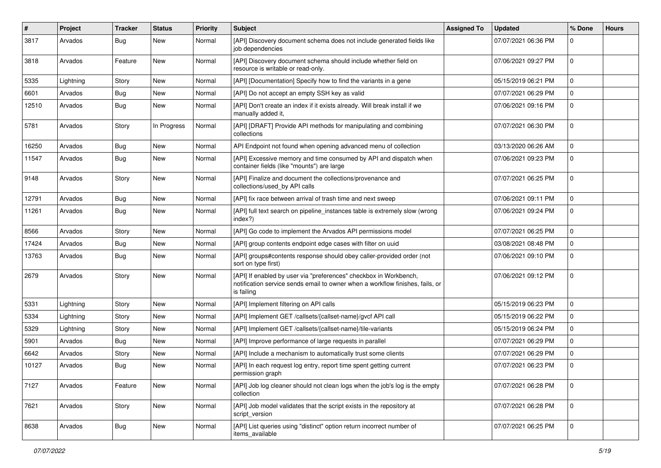| $\pmb{\#}$ | Project   | <b>Tracker</b> | <b>Status</b> | <b>Priority</b> | <b>Subject</b>                                                                                                                                                   | <b>Assigned To</b> | <b>Updated</b>      | % Done      | <b>Hours</b> |
|------------|-----------|----------------|---------------|-----------------|------------------------------------------------------------------------------------------------------------------------------------------------------------------|--------------------|---------------------|-------------|--------------|
| 3817       | Arvados   | Bug            | New           | Normal          | [API] Discovery document schema does not include generated fields like<br>job dependencies                                                                       |                    | 07/07/2021 06:36 PM | $\Omega$    |              |
| 3818       | Arvados   | Feature        | <b>New</b>    | Normal          | [API] Discovery document schema should include whether field on<br>resource is writable or read-only.                                                            |                    | 07/06/2021 09:27 PM | $\mathbf 0$ |              |
| 5335       | Lightning | Story          | New           | Normal          | [API] [Documentation] Specify how to find the variants in a gene                                                                                                 |                    | 05/15/2019 06:21 PM | $\mathbf 0$ |              |
| 6601       | Arvados   | Bug            | New           | Normal          | [API] Do not accept an empty SSH key as valid                                                                                                                    |                    | 07/07/2021 06:29 PM | $\Omega$    |              |
| 12510      | Arvados   | Bug            | New           | Normal          | [API] Don't create an index if it exists already. Will break install if we<br>manually added it,                                                                 |                    | 07/06/2021 09:16 PM | $\Omega$    |              |
| 5781       | Arvados   | Story          | In Progress   | Normal          | [API] [DRAFT] Provide API methods for manipulating and combining<br>collections                                                                                  |                    | 07/07/2021 06:30 PM | $\mathbf 0$ |              |
| 16250      | Arvados   | Bug            | New           | Normal          | API Endpoint not found when opening advanced menu of collection                                                                                                  |                    | 03/13/2020 06:26 AM | $\mathbf 0$ |              |
| 11547      | Arvados   | Bug            | New           | Normal          | [API] Excessive memory and time consumed by API and dispatch when<br>container fields (like "mounts") are large                                                  |                    | 07/06/2021 09:23 PM | $\mathbf 0$ |              |
| 9148       | Arvados   | Story          | New           | Normal          | [API] Finalize and document the collections/provenance and<br>collections/used_by API calls                                                                      |                    | 07/07/2021 06:25 PM | $\Omega$    |              |
| 12791      | Arvados   | Bug            | <b>New</b>    | Normal          | [API] fix race between arrival of trash time and next sweep                                                                                                      |                    | 07/06/2021 09:11 PM | $\mathbf 0$ |              |
| 11261      | Arvados   | Bug            | New           | Normal          | [API] full text search on pipeline instances table is extremely slow (wrong<br>index?)                                                                           |                    | 07/06/2021 09:24 PM | $\mathbf 0$ |              |
| 8566       | Arvados   | Story          | New           | Normal          | [API] Go code to implement the Arvados API permissions model                                                                                                     |                    | 07/07/2021 06:25 PM | 0           |              |
| 17424      | Arvados   | Bug            | New           | Normal          | [API] group contents endpoint edge cases with filter on uuid                                                                                                     |                    | 03/08/2021 08:48 PM | $\mathbf 0$ |              |
| 13763      | Arvados   | <b>Bug</b>     | <b>New</b>    | Normal          | [API] groups#contents response should obey caller-provided order (not<br>sort on type first)                                                                     |                    | 07/06/2021 09:10 PM | $\mathbf 0$ |              |
| 2679       | Arvados   | Story          | New           | Normal          | [API] If enabled by user via "preferences" checkbox in Workbench,<br>notification service sends email to owner when a workflow finishes, fails, or<br>is failing |                    | 07/06/2021 09:12 PM | $\mathbf 0$ |              |
| 5331       | Lightning | Story          | New           | Normal          | [API] Implement filtering on API calls                                                                                                                           |                    | 05/15/2019 06:23 PM | $\Omega$    |              |
| 5334       | Lightning | Story          | New           | Normal          | [API] Implement GET /callsets/{callset-name}/gvcf API call                                                                                                       |                    | 05/15/2019 06:22 PM | 0           |              |
| 5329       | Lightning | Story          | New           | Normal          | [API] Implement GET /callsets/{callset-name}/tile-variants                                                                                                       |                    | 05/15/2019 06:24 PM | $\mathbf 0$ |              |
| 5901       | Arvados   | Bug            | New           | Normal          | [API] Improve performance of large requests in parallel                                                                                                          |                    | 07/07/2021 06:29 PM | $\mathbf 0$ |              |
| 6642       | Arvados   | Story          | New           | Normal          | [API] Include a mechanism to automatically trust some clients                                                                                                    |                    | 07/07/2021 06:29 PM | 0           |              |
| 10127      | Arvados   | Bug            | New           | Normal          | [API] In each request log entry, report time spent getting current<br>permission graph                                                                           |                    | 07/07/2021 06:23 PM | $\mathbf 0$ |              |
| 7127       | Arvados   | Feature        | New           | Normal          | [API] Job log cleaner should not clean logs when the job's log is the empty<br>collection                                                                        |                    | 07/07/2021 06:28 PM | 0           |              |
| 7621       | Arvados   | Story          | New           | Normal          | [API] Job model validates that the script exists in the repository at<br>script_version                                                                          |                    | 07/07/2021 06:28 PM | $\mathbf 0$ |              |
| 8638       | Arvados   | <b>Bug</b>     | New           | Normal          | [API] List queries using "distinct" option return incorrect number of<br>items_available                                                                         |                    | 07/07/2021 06:25 PM | $\mathbf 0$ |              |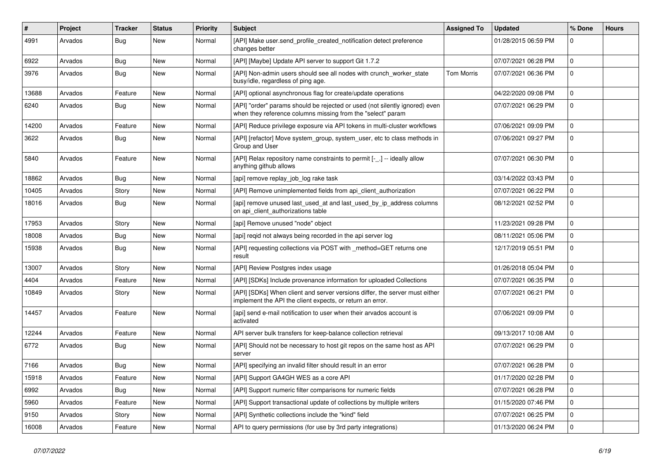| $\pmb{\#}$ | Project | <b>Tracker</b> | <b>Status</b> | <b>Priority</b> | <b>Subject</b>                                                                                                                             | <b>Assigned To</b> | <b>Updated</b>      | % Done      | <b>Hours</b> |
|------------|---------|----------------|---------------|-----------------|--------------------------------------------------------------------------------------------------------------------------------------------|--------------------|---------------------|-------------|--------------|
| 4991       | Arvados | Bug            | <b>New</b>    | Normal          | [API] Make user.send_profile_created_notification detect preference<br>changes better                                                      |                    | 01/28/2015 06:59 PM | $\Omega$    |              |
| 6922       | Arvados | Bug            | <b>New</b>    | Normal          | [API] [Maybe] Update API server to support Git 1.7.2                                                                                       |                    | 07/07/2021 06:28 PM | $\Omega$    |              |
| 3976       | Arvados | Bug            | <b>New</b>    | Normal          | [API] Non-admin users should see all nodes with crunch worker state<br>busy/idle, regardless of ping age.                                  | <b>Tom Morris</b>  | 07/07/2021 06:36 PM | $\mathbf 0$ |              |
| 13688      | Arvados | Feature        | <b>New</b>    | Normal          | [API] optional asynchronous flag for create/update operations                                                                              |                    | 04/22/2020 09:08 PM | $\mathbf 0$ |              |
| 6240       | Arvados | Bug            | <b>New</b>    | Normal          | [API] "order" params should be rejected or used (not silently ignored) even<br>when they reference columns missing from the "select" param |                    | 07/07/2021 06:29 PM | $\mathbf 0$ |              |
| 14200      | Arvados | Feature        | <b>New</b>    | Normal          | [API] Reduce privilege exposure via API tokens in multi-cluster workflows                                                                  |                    | 07/06/2021 09:09 PM | $\mathbf 0$ |              |
| 3622       | Arvados | <b>Bug</b>     | New           | Normal          | [API] [refactor] Move system group, system user, etc to class methods in<br>Group and User                                                 |                    | 07/06/2021 09:27 PM | $\mathbf 0$ |              |
| 5840       | Arvados | Feature        | <b>New</b>    | Normal          | [API] Relax repository name constraints to permit [-_.] -- ideally allow<br>anything github allows                                         |                    | 07/07/2021 06:30 PM | $\Omega$    |              |
| 18862      | Arvados | Bug            | <b>New</b>    | Normal          | [api] remove replay_job_log rake task                                                                                                      |                    | 03/14/2022 03:43 PM | $\mathbf 0$ |              |
| 10405      | Arvados | Story          | <b>New</b>    | Normal          | [API] Remove unimplemented fields from api client authorization                                                                            |                    | 07/07/2021 06:22 PM | $\mathbf 0$ |              |
| 18016      | Arvados | Bug            | New           | Normal          | [api] remove unused last used at and last used by ip address columns<br>on api_client_authorizations table                                 |                    | 08/12/2021 02:52 PM | $\mathbf 0$ |              |
| 17953      | Arvados | Story          | New           | Normal          | [api] Remove unused "node" object                                                                                                          |                    | 11/23/2021 09:28 PM | $\Omega$    |              |
| 18008      | Arvados | Bug            | <b>New</b>    | Normal          | [api] regid not always being recorded in the api server log                                                                                |                    | 08/11/2021 05:06 PM | $\mathbf 0$ |              |
| 15938      | Arvados | Bug            | New           | Normal          | [API] requesting collections via POST with _method=GET returns one<br>result                                                               |                    | 12/17/2019 05:51 PM | $\mathbf 0$ |              |
| 13007      | Arvados | Story          | <b>New</b>    | Normal          | [API] Review Postgres index usage                                                                                                          |                    | 01/26/2018 05:04 PM | $\Omega$    |              |
| 4404       | Arvados | Feature        | <b>New</b>    | Normal          | [API] [SDKs] Include provenance information for uploaded Collections                                                                       |                    | 07/07/2021 06:35 PM | $\mathbf 0$ |              |
| 10849      | Arvados | Story          | <b>New</b>    | Normal          | [API] [SDKs] When client and server versions differ, the server must either<br>implement the API the client expects, or return an error.   |                    | 07/07/2021 06:21 PM | $\Omega$    |              |
| 14457      | Arvados | Feature        | <b>New</b>    | Normal          | [api] send e-mail notification to user when their arvados account is<br>activated                                                          |                    | 07/06/2021 09:09 PM | $\Omega$    |              |
| 12244      | Arvados | Feature        | <b>New</b>    | Normal          | API server bulk transfers for keep-balance collection retrieval                                                                            |                    | 09/13/2017 10:08 AM | $\mathbf 0$ |              |
| 6772       | Arvados | Bug            | <b>New</b>    | Normal          | [API] Should not be necessary to host git repos on the same host as API<br>server                                                          |                    | 07/07/2021 06:29 PM | $\mathbf 0$ |              |
| 7166       | Arvados | Bug            | <b>New</b>    | Normal          | [API] specifying an invalid filter should result in an error                                                                               |                    | 07/07/2021 06:28 PM | $\mathbf 0$ |              |
| 15918      | Arvados | Feature        | <b>New</b>    | Normal          | [API] Support GA4GH WES as a core API                                                                                                      |                    | 01/17/2020 02:28 PM | $\mathbf 0$ |              |
| 6992       | Arvados | Bug            | <b>New</b>    | Normal          | [API] Support numeric filter comparisons for numeric fields                                                                                |                    | 07/07/2021 06:28 PM | $\mathbf 0$ |              |
| 5960       | Arvados | Feature        | <b>New</b>    | Normal          | [API] Support transactional update of collections by multiple writers                                                                      |                    | 01/15/2020 07:46 PM | $\mathbf 0$ |              |
| 9150       | Arvados | Story          | <b>New</b>    | Normal          | [API] Synthetic collections include the "kind" field                                                                                       |                    | 07/07/2021 06:25 PM | 0           |              |
| 16008      | Arvados | Feature        | <b>New</b>    | Normal          | API to query permissions (for use by 3rd party integrations)                                                                               |                    | 01/13/2020 06:24 PM | $\Omega$    |              |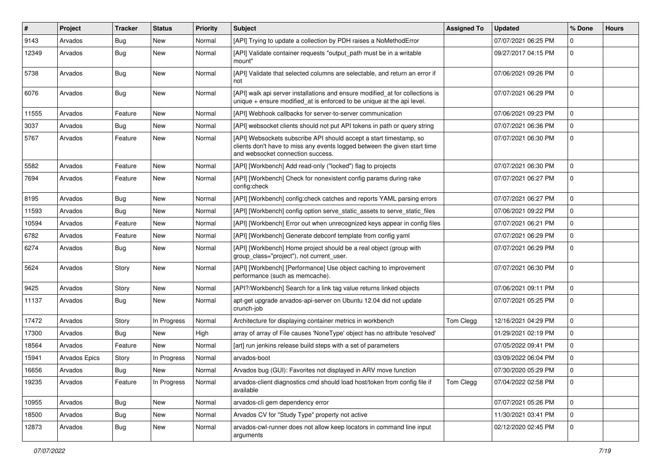| $\vert$ # | Project       | <b>Tracker</b> | <b>Status</b> | <b>Priority</b> | Subject                                                                                                                                                                              | <b>Assigned To</b> | <b>Updated</b>      | % Done       | <b>Hours</b> |
|-----------|---------------|----------------|---------------|-----------------|--------------------------------------------------------------------------------------------------------------------------------------------------------------------------------------|--------------------|---------------------|--------------|--------------|
| 9143      | Arvados       | Bug            | New           | Normal          | [API] Trying to update a collection by PDH raises a NoMethodError                                                                                                                    |                    | 07/07/2021 06:25 PM | $\Omega$     |              |
| 12349     | Arvados       | <b>Bug</b>     | New           | Normal          | [API] Validate container requests "output_path must be in a writable<br>mount"                                                                                                       |                    | 09/27/2017 04:15 PM | $\mathbf{0}$ |              |
| 5738      | Arvados       | Bug            | New           | Normal          | [API] Validate that selected columns are selectable, and return an error if<br>not                                                                                                   |                    | 07/06/2021 09:26 PM | $\Omega$     |              |
| 6076      | Arvados       | Bug            | New           | Normal          | [API] walk api server installations and ensure modified_at for collections is<br>unique $+$ ensure modified at is enforced to be unique at the api level.                            |                    | 07/07/2021 06:29 PM | $\mathbf 0$  |              |
| 11555     | Arvados       | Feature        | New           | Normal          | [API] Webhook callbacks for server-to-server communication                                                                                                                           |                    | 07/06/2021 09:23 PM | $\mathbf 0$  |              |
| 3037      | Arvados       | Bug            | New           | Normal          | [API] websocket clients should not put API tokens in path or query string                                                                                                            |                    | 07/07/2021 06:36 PM | $\Omega$     |              |
| 5767      | Arvados       | Feature        | New           | Normal          | [API] Websockets subscribe API should accept a start timestamp, so<br>clients don't have to miss any events logged between the given start time<br>and websocket connection success. |                    | 07/07/2021 06:30 PM | $\mathbf 0$  |              |
| 5582      | Arvados       | Feature        | New           | Normal          | [API] [Workbench] Add read-only ("locked") flag to projects                                                                                                                          |                    | 07/07/2021 06:30 PM | $\mathbf 0$  |              |
| 7694      | Arvados       | Feature        | New           | Normal          | [API] [Workbench] Check for nonexistent config params during rake<br>config:check                                                                                                    |                    | 07/07/2021 06:27 PM | $\mathbf 0$  |              |
| 8195      | Arvados       | Bug            | <b>New</b>    | Normal          | [API] [Workbench] config:check catches and reports YAML parsing errors                                                                                                               |                    | 07/07/2021 06:27 PM | $\mathbf 0$  |              |
| 11593     | Arvados       | Bug            | New           | Normal          | [API] [Workbench] config option serve static assets to serve static files                                                                                                            |                    | 07/06/2021 09:22 PM | $\mathbf{0}$ |              |
| 10594     | Arvados       | Feature        | New           | Normal          | [API] [Workbench] Error out when unrecognized keys appear in config files                                                                                                            |                    | 07/07/2021 06:21 PM | $\mathbf 0$  |              |
| 6782      | Arvados       | Feature        | New           | Normal          | [API] [Workbench] Generate debconf template from config yaml                                                                                                                         |                    | 07/07/2021 06:29 PM | $\mathbf 0$  |              |
| 6274      | Arvados       | Bug            | New           | Normal          | [API] [Workbench] Home project should be a real object (group with<br>group_class="project"), not current_user.                                                                      |                    | 07/07/2021 06:29 PM | $\Omega$     |              |
| 5624      | Arvados       | Story          | New           | Normal          | [API] [Workbench] [Performance] Use object caching to improvement<br>performance (such as memcache).                                                                                 |                    | 07/07/2021 06:30 PM | $\mathbf 0$  |              |
| 9425      | Arvados       | Story          | New           | Normal          | [API?/Workbench] Search for a link tag value returns linked objects                                                                                                                  |                    | 07/06/2021 09:11 PM | $\mathbf 0$  |              |
| 11137     | Arvados       | Bug            | New           | Normal          | apt-get upgrade arvados-api-server on Ubuntu 12.04 did not update<br>crunch-job                                                                                                      |                    | 07/07/2021 05:25 PM | $\mathbf 0$  |              |
| 17472     | Arvados       | Story          | In Progress   | Normal          | Architecture for displaying container metrics in workbench                                                                                                                           | Tom Clegg          | 12/16/2021 04:29 PM | $\mathbf 0$  |              |
| 17300     | Arvados       | Bug            | New           | High            | array of array of File causes 'NoneType' object has no attribute 'resolved'                                                                                                          |                    | 01/29/2021 02:19 PM | $\Omega$     |              |
| 18564     | Arvados       | Feature        | New           | Normal          | [art] run jenkins release build steps with a set of parameters                                                                                                                       |                    | 07/05/2022 09:41 PM | $\mathbf 0$  |              |
| 15941     | Arvados Epics | Story          | In Progress   | Normal          | arvados-boot                                                                                                                                                                         |                    | 03/09/2022 06:04 PM | $\mathbf 0$  |              |
| 16656     | Arvados       | Bug            | New           | Normal          | Arvados bug (GUI): Favorites not displayed in ARV move function                                                                                                                      |                    | 07/30/2020 05:29 PM | $\mathbf 0$  |              |
| 19235     | Arvados       | Feature        | In Progress   | Normal          | arvados-client diagnostics cmd should load host/token from config file if<br>available                                                                                               | Tom Clegg          | 07/04/2022 02:58 PM | $\mathbf 0$  |              |
| 10955     | Arvados       | <b>Bug</b>     | New           | Normal          | arvados-cli gem dependency error                                                                                                                                                     |                    | 07/07/2021 05:26 PM | $\mathbf{0}$ |              |
| 18500     | Arvados       | <b>Bug</b>     | New           | Normal          | Arvados CV for "Study Type" property not active                                                                                                                                      |                    | 11/30/2021 03:41 PM | $\mathbf 0$  |              |
| 12873     | Arvados       | <b>Bug</b>     | New           | Normal          | arvados-cwl-runner does not allow keep locators in command line input<br>arguments                                                                                                   |                    | 02/12/2020 02:45 PM | $\mathbf 0$  |              |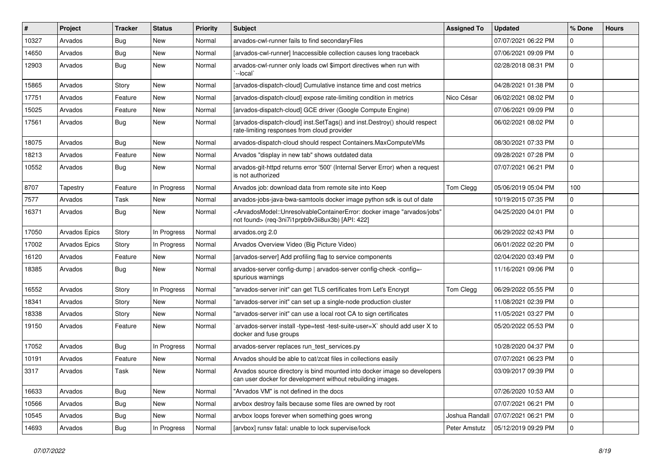| #     | Project              | <b>Tracker</b> | <b>Status</b> | <b>Priority</b> | <b>Subject</b>                                                                                                                                                                        | <b>Assigned To</b> | <b>Updated</b>      | % Done      | <b>Hours</b> |
|-------|----------------------|----------------|---------------|-----------------|---------------------------------------------------------------------------------------------------------------------------------------------------------------------------------------|--------------------|---------------------|-------------|--------------|
| 10327 | Arvados              | Bug            | New           | Normal          | arvados-cwl-runner fails to find secondaryFiles                                                                                                                                       |                    | 07/07/2021 06:22 PM | $\Omega$    |              |
| 14650 | Arvados              | Bug            | <b>New</b>    | Normal          | [arvados-cwl-runner] Inaccessible collection causes long traceback                                                                                                                    |                    | 07/06/2021 09:09 PM | $\mathbf 0$ |              |
| 12903 | Arvados              | Bug            | New           | Normal          | arvados-cwl-runner only loads cwl \$import directives when run with<br>'--local'                                                                                                      |                    | 02/28/2018 08:31 PM | $\mathbf 0$ |              |
| 15865 | Arvados              | Story          | <b>New</b>    | Normal          | [arvados-dispatch-cloud] Cumulative instance time and cost metrics                                                                                                                    |                    | 04/28/2021 01:38 PM | $\mathbf 0$ |              |
| 17751 | Arvados              | Feature        | New           | Normal          | [arvados-dispatch-cloud] expose rate-limiting condition in metrics                                                                                                                    | Nico César         | 06/02/2021 08:02 PM | $\mathbf 0$ |              |
| 15025 | Arvados              | Feature        | New           | Normal          | [arvados-dispatch-cloud] GCE driver (Google Compute Engine)                                                                                                                           |                    | 07/06/2021 09:09 PM | 0           |              |
| 17561 | Arvados              | Bug            | New           | Normal          | [arvados-dispatch-cloud] inst.SetTags() and inst.Destroy() should respect<br>rate-limiting responses from cloud provider                                                              |                    | 06/02/2021 08:02 PM | 0           |              |
| 18075 | Arvados              | Bug            | <b>New</b>    | Normal          | arvados-dispatch-cloud should respect Containers.MaxComputeVMs                                                                                                                        |                    | 08/30/2021 07:33 PM | $\mathbf 0$ |              |
| 18213 | Arvados              | Feature        | New           | Normal          | Arvados "display in new tab" shows outdated data                                                                                                                                      |                    | 09/28/2021 07:28 PM | $\Omega$    |              |
| 10552 | Arvados              | Bug            | New           | Normal          | arvados-git-httpd returns error '500' (Internal Server Error) when a request<br>is not authorized                                                                                     |                    | 07/07/2021 06:21 PM | $\mathbf 0$ |              |
| 8707  | Tapestry             | Feature        | In Progress   | Normal          | Arvados job: download data from remote site into Keep                                                                                                                                 | Tom Clegg          | 05/06/2019 05:04 PM | 100         |              |
| 7577  | Arvados              | Task           | <b>New</b>    | Normal          | arvados-jobs-java-bwa-samtools docker image python sdk is out of date                                                                                                                 |                    | 10/19/2015 07:35 PM | $\mathbf 0$ |              |
| 16371 | Arvados              | Bug            | New           | Normal          | <arvadosmodel::unresolvablecontainererror: "arvados="" docker="" image="" jobs"<br="">not found&gt; (req-3ni7i1prpb9v3ii8ux3b) [API: 422]</arvadosmodel::unresolvablecontainererror:> |                    | 04/25/2020 04:01 PM | 0           |              |
| 17050 | Arvados Epics        | Story          | In Progress   | Normal          | arvados.org 2.0                                                                                                                                                                       |                    | 06/29/2022 02:43 PM | $\mathbf 0$ |              |
| 17002 | <b>Arvados Epics</b> | Story          | In Progress   | Normal          | Arvados Overview Video (Big Picture Video)                                                                                                                                            |                    | 06/01/2022 02:20 PM | $\Omega$    |              |
| 16120 | Arvados              | Feature        | New           | Normal          | [arvados-server] Add profiling flag to service components                                                                                                                             |                    | 02/04/2020 03:49 PM | 0           |              |
| 18385 | Arvados              | Bug            | New           | Normal          | arvados-server config-dump   arvados-server config-check -config=-<br>spurious warnings                                                                                               |                    | 11/16/2021 09:06 PM | 0           |              |
| 16552 | Arvados              | Story          | In Progress   | Normal          | "arvados-server init" can get TLS certificates from Let's Encrypt                                                                                                                     | Tom Clegg          | 06/29/2022 05:55 PM | $\Omega$    |              |
| 18341 | Arvados              | Story          | New           | Normal          | "arvados-server init" can set up a single-node production cluster                                                                                                                     |                    | 11/08/2021 02:39 PM | 0           |              |
| 18338 | Arvados              | Story          | New           | Normal          | "arvados-server init" can use a local root CA to sign certificates                                                                                                                    |                    | 11/05/2021 03:27 PM | $\mathbf 0$ |              |
| 19150 | Arvados              | Feature        | New           | Normal          | arvados-server install -type=test -test-suite-user=X` should add user X to<br>docker and fuse groups                                                                                  |                    | 05/20/2022 05:53 PM | $\mathbf 0$ |              |
| 17052 | Arvados              | Bug            | In Progress   | Normal          | arvados-server replaces run_test_services.py                                                                                                                                          |                    | 10/28/2020 04:37 PM | $\mathbf 0$ |              |
| 10191 | Arvados              | Feature        | New           | Normal          | Arvados should be able to cat/zcat files in collections easily                                                                                                                        |                    | 07/07/2021 06:23 PM | 0           |              |
| 3317  | Arvados              | <b>Task</b>    | New           | Normal          | Arvados source directory is bind mounted into docker image so developers<br>can user docker for development without rebuilding images.                                                |                    | 03/09/2017 09:39 PM | $\Omega$    |              |
| 16633 | Arvados              | Bug            | New           | Normal          | "Arvados VM" is not defined in the docs                                                                                                                                               |                    | 07/26/2020 10:53 AM | 0           |              |
| 10566 | Arvados              | Bug            | New           | Normal          | arvbox destroy fails because some files are owned by root                                                                                                                             |                    | 07/07/2021 06:21 PM | 0           |              |
| 10545 | Arvados              | Bug            | New           | Normal          | arvbox loops forever when something goes wrong                                                                                                                                        | Joshua Randall     | 07/07/2021 06:21 PM | 0           |              |
| 14693 | Arvados              | Bug            | In Progress   | Normal          | [arvbox] runsv fatal: unable to lock supervise/lock                                                                                                                                   | Peter Amstutz      | 05/12/2019 09:29 PM | $\pmb{0}$   |              |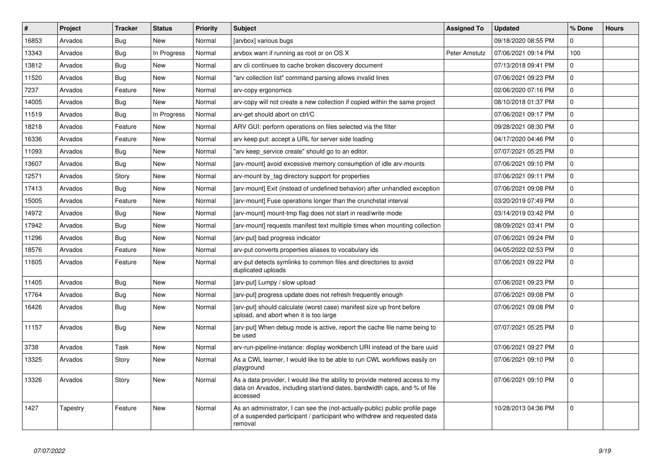| #     | Project  | <b>Tracker</b> | <b>Status</b> | Priority | <b>Subject</b>                                                                                                                                                        | <b>Assigned To</b> | <b>Updated</b>      | % Done      | <b>Hours</b> |
|-------|----------|----------------|---------------|----------|-----------------------------------------------------------------------------------------------------------------------------------------------------------------------|--------------------|---------------------|-------------|--------------|
| 16853 | Arvados  | Bug            | <b>New</b>    | Normal   | [arvbox] various bugs                                                                                                                                                 |                    | 09/18/2020 08:55 PM | 0           |              |
| 13343 | Arvados  | Bug            | In Progress   | Normal   | arvbox warn if running as root or on OS X                                                                                                                             | Peter Amstutz      | 07/06/2021 09:14 PM | 100         |              |
| 13812 | Arvados  | Bug            | <b>New</b>    | Normal   | arv cli continues to cache broken discovery document                                                                                                                  |                    | 07/13/2018 09:41 PM | $\Omega$    |              |
| 11520 | Arvados  | Bug            | <b>New</b>    | Normal   | 'arv collection list" command parsing allows invalid lines                                                                                                            |                    | 07/06/2021 09:23 PM | $\mathbf 0$ |              |
| 7237  | Arvados  | Feature        | <b>New</b>    | Normal   | arv-copy ergonomics                                                                                                                                                   |                    | 02/06/2020 07:16 PM | 0           |              |
| 14005 | Arvados  | <b>Bug</b>     | <b>New</b>    | Normal   | arv-copy will not create a new collection if copied within the same project                                                                                           |                    | 08/10/2018 01:37 PM | $\Omega$    |              |
| 11519 | Arvados  | Bug            | In Progress   | Normal   | arv-get should abort on ctrl/C                                                                                                                                        |                    | 07/06/2021 09:17 PM | $\Omega$    |              |
| 18218 | Arvados  | Feature        | New           | Normal   | ARV GUI: perform operations on files selected via the filter                                                                                                          |                    | 09/28/2021 08:30 PM | $\mathbf 0$ |              |
| 16336 | Arvados  | Feature        | <b>New</b>    | Normal   | arv keep put: accept a URL for server side loading                                                                                                                    |                    | 04/17/2020 04:46 PM | $\mathbf 0$ |              |
| 11093 | Arvados  | Bug            | <b>New</b>    | Normal   | "arv keep service create" should go to an editor.                                                                                                                     |                    | 07/07/2021 05:25 PM | $\Omega$    |              |
| 13607 | Arvados  | Bug            | <b>New</b>    | Normal   | [arv-mount] avoid excessive memory consumption of idle arv-mounts                                                                                                     |                    | 07/06/2021 09:10 PM | $\Omega$    |              |
| 12571 | Arvados  | Story          | <b>New</b>    | Normal   | arv-mount by_tag directory support for properties                                                                                                                     |                    | 07/06/2021 09:11 PM | $\Omega$    |              |
| 17413 | Arvados  | Bug            | <b>New</b>    | Normal   | [arv-mount] Exit (instead of undefined behavior) after unhandled exception                                                                                            |                    | 07/06/2021 09:08 PM | 0           |              |
| 15005 | Arvados  | Feature        | <b>New</b>    | Normal   | [arv-mount] Fuse operations longer than the crunchstat interval                                                                                                       |                    | 03/20/2019 07:49 PM | $\Omega$    |              |
| 14972 | Arvados  | Bug            | <b>New</b>    | Normal   | [arv-mount] mount-tmp flag does not start in read/write mode                                                                                                          |                    | 03/14/2019 03:42 PM | $\mathbf 0$ |              |
| 17942 | Arvados  | Bug            | <b>New</b>    | Normal   | [arv-mount] requests manifest text multiple times when mounting collection                                                                                            |                    | 08/09/2021 03:41 PM | $\Omega$    |              |
| 11296 | Arvados  | Bug            | <b>New</b>    | Normal   | [arv-put] bad progress indicator                                                                                                                                      |                    | 07/06/2021 09:24 PM | $\mathbf 0$ |              |
| 18576 | Arvados  | Feature        | New           | Normal   | arv-put converts properties aliases to vocabulary ids                                                                                                                 |                    | 04/05/2022 02:53 PM | $\mathbf 0$ |              |
| 11605 | Arvados  | Feature        | <b>New</b>    | Normal   | arv-put detects symlinks to common files and directories to avoid<br>duplicated uploads                                                                               |                    | 07/06/2021 09:22 PM | $\mathbf 0$ |              |
| 11405 | Arvados  | Bug            | <b>New</b>    | Normal   | [arv-put] Lumpy / slow upload                                                                                                                                         |                    | 07/06/2021 09:23 PM | $\Omega$    |              |
| 17764 | Arvados  | Bug            | <b>New</b>    | Normal   | [arv-put] progress update does not refresh frequently enough                                                                                                          |                    | 07/06/2021 09:08 PM | $\mathbf 0$ |              |
| 16426 | Arvados  | Bug            | <b>New</b>    | Normal   | [arv-put] should calculate (worst case) manifest size up front before<br>upload, and abort when it is too large                                                       |                    | 07/06/2021 09:08 PM | $\Omega$    |              |
| 11157 | Arvados  | Bug            | <b>New</b>    | Normal   | [arv-put] When debug mode is active, report the cache file name being to<br>be used                                                                                   |                    | 07/07/2021 05:25 PM | $\Omega$    |              |
| 3738  | Arvados  | Task           | <b>New</b>    | Normal   | arv-run-pipeline-instance: display workbench URI instead of the bare uuid                                                                                             |                    | 07/06/2021 09:27 PM | 0           |              |
| 13325 | Arvados  | Story          | <b>New</b>    | Normal   | As a CWL learner, I would like to be able to run CWL workflows easily on<br>playground                                                                                |                    | 07/06/2021 09:10 PM | $\Omega$    |              |
| 13326 | Arvados  | Story          | <b>New</b>    | Normal   | As a data provider, I would like the ability to provide metered access to my<br>data on Arvados, including start/end dates, bandwidth caps, and % of file<br>accessed |                    | 07/06/2021 09:10 PM | $\mathbf 0$ |              |
| 1427  | Tapestry | Feature        | New           | Normal   | As an administrator, I can see the (not-actually-public) public profile page<br>of a suspended participant / participant who withdrew and requested data<br>removal   |                    | 10/28/2013 04:36 PM | $\mathbf 0$ |              |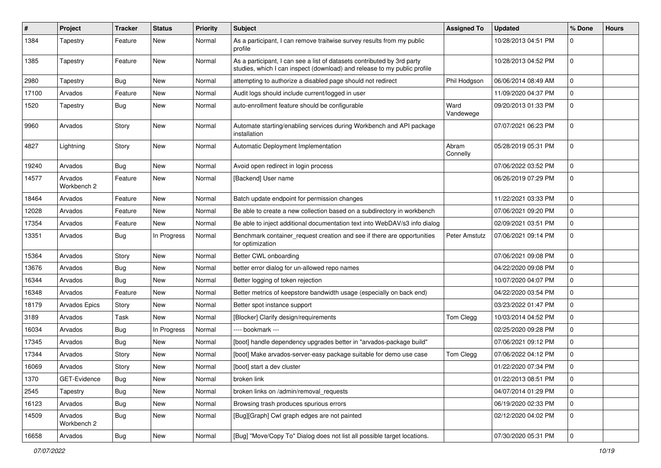| #     | <b>Project</b>         | <b>Tracker</b> | <b>Status</b> | <b>Priority</b> | <b>Subject</b>                                                                                                                                      | <b>Assigned To</b> | <b>Updated</b>      | % Done      | <b>Hours</b> |
|-------|------------------------|----------------|---------------|-----------------|-----------------------------------------------------------------------------------------------------------------------------------------------------|--------------------|---------------------|-------------|--------------|
| 1384  | Tapestry               | Feature        | New           | Normal          | As a participant, I can remove traitwise survey results from my public<br>profile                                                                   |                    | 10/28/2013 04:51 PM | $\Omega$    |              |
| 1385  | Tapestry               | Feature        | New           | Normal          | As a participant, I can see a list of datasets contributed by 3rd party<br>studies, which I can inspect (download) and release to my public profile |                    | 10/28/2013 04:52 PM | $\mathbf 0$ |              |
| 2980  | Tapestry               | Bug            | New           | Normal          | attempting to authorize a disabled page should not redirect                                                                                         | Phil Hodgson       | 06/06/2014 08:49 AM | $\mathbf 0$ |              |
| 17100 | Arvados                | Feature        | New           | Normal          | Audit logs should include current/logged in user                                                                                                    |                    | 11/09/2020 04:37 PM | $\mathbf 0$ |              |
| 1520  | Tapestry               | Bug            | New           | Normal          | auto-enrollment feature should be configurable                                                                                                      | Ward<br>Vandewege  | 09/20/2013 01:33 PM | $\mathbf 0$ |              |
| 9960  | Arvados                | Story          | New           | Normal          | Automate starting/enabling services during Workbench and API package<br>installation                                                                |                    | 07/07/2021 06:23 PM | $\Omega$    |              |
| 4827  | Lightning              | Story          | New           | Normal          | Automatic Deployment Implementation                                                                                                                 | Abram<br>Connelly  | 05/28/2019 05:31 PM | $\mathbf 0$ |              |
| 19240 | Arvados                | <b>Bug</b>     | <b>New</b>    | Normal          | Avoid open redirect in login process                                                                                                                |                    | 07/06/2022 03:52 PM | $\mathbf 0$ |              |
| 14577 | Arvados<br>Workbench 2 | Feature        | New           | Normal          | [Backend] User name                                                                                                                                 |                    | 06/26/2019 07:29 PM | $\mathbf 0$ |              |
| 18464 | Arvados                | Feature        | New           | Normal          | Batch update endpoint for permission changes                                                                                                        |                    | 11/22/2021 03:33 PM | $\mathbf 0$ |              |
| 12028 | Arvados                | Feature        | New           | Normal          | Be able to create a new collection based on a subdirectory in workbench                                                                             |                    | 07/06/2021 09:20 PM | $\mathbf 0$ |              |
| 17354 | Arvados                | Feature        | New           | Normal          | Be able to inject additional documentation text into WebDAV/s3 info dialog                                                                          |                    | 02/09/2021 03:51 PM | $\mathbf 0$ |              |
| 13351 | Arvados                | Bug            | In Progress   | Normal          | Benchmark container_request creation and see if there are opportunities<br>for optimization                                                         | Peter Amstutz      | 07/06/2021 09:14 PM | $\mathbf 0$ |              |
| 15364 | Arvados                | Story          | New           | Normal          | Better CWL onboarding                                                                                                                               |                    | 07/06/2021 09:08 PM | 0           |              |
| 13676 | Arvados                | <b>Bug</b>     | New           | Normal          | better error dialog for un-allowed repo names                                                                                                       |                    | 04/22/2020 09:08 PM | $\mathbf 0$ |              |
| 16344 | Arvados                | Bug            | New           | Normal          | Better logging of token rejection                                                                                                                   |                    | 10/07/2020 04:07 PM | $\mathbf 0$ |              |
| 16348 | Arvados                | Feature        | New           | Normal          | Better metrics of keepstore bandwidth usage (especially on back end)                                                                                |                    | 04/22/2020 03:54 PM | 0           |              |
| 18179 | Arvados Epics          | Story          | New           | Normal          | Better spot instance support                                                                                                                        |                    | 03/23/2022 01:47 PM | $\mathbf 0$ |              |
| 3189  | Arvados                | Task           | New           | Normal          | [Blocker] Clarify design/requirements                                                                                                               | Tom Clegg          | 10/03/2014 04:52 PM | $\mathbf 0$ |              |
| 16034 | Arvados                | <b>Bug</b>     | In Progress   | Normal          | ---- bookmark ---                                                                                                                                   |                    | 02/25/2020 09:28 PM | 0           |              |
| 17345 | Arvados                | Bug            | New           | Normal          | [boot] handle dependency upgrades better in "arvados-package build"                                                                                 |                    | 07/06/2021 09:12 PM | 0           |              |
| 17344 | Arvados                | Story          | New           | Normal          | [boot] Make arvados-server-easy package suitable for demo use case                                                                                  | Tom Clegg          | 07/06/2022 04:12 PM | 0           |              |
| 16069 | Arvados                | Story          | New           | Normal          | [boot] start a dev cluster                                                                                                                          |                    | 01/22/2020 07:34 PM | $\mathbf 0$ |              |
| 1370  | GET-Evidence           | <b>Bug</b>     | New           | Normal          | broken link                                                                                                                                         |                    | 01/22/2013 08:51 PM | 0           |              |
| 2545  | Tapestry               | Bug            | New           | Normal          | broken links on /admin/removal requests                                                                                                             |                    | 04/07/2014 01:29 PM | 0           |              |
| 16123 | Arvados                | Bug            | New           | Normal          | Browsing trash produces spurious errors                                                                                                             |                    | 06/19/2020 02:33 PM | $\mathbf 0$ |              |
| 14509 | Arvados<br>Workbench 2 | <b>Bug</b>     | New           | Normal          | [Bug][Graph] Cwl graph edges are not painted                                                                                                        |                    | 02/12/2020 04:02 PM | $\mathbf 0$ |              |
| 16658 | Arvados                | <b>Bug</b>     | New           | Normal          | [Bug] "Move/Copy To" Dialog does not list all possible target locations.                                                                            |                    | 07/30/2020 05:31 PM | 0           |              |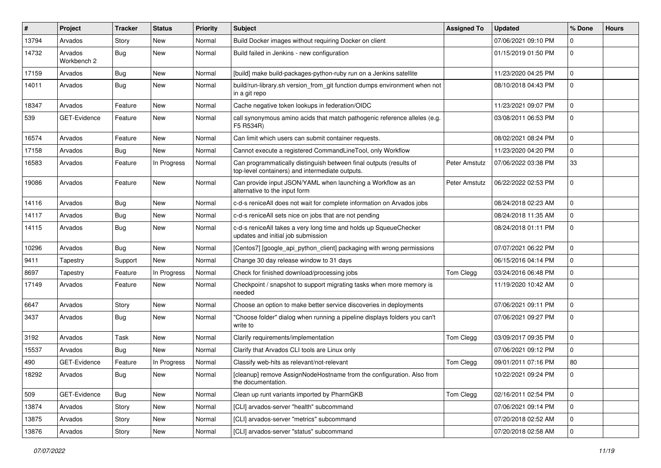| #     | Project                | <b>Tracker</b> | <b>Status</b> | <b>Priority</b> | Subject                                                                                                               | <b>Assigned To</b> | <b>Updated</b>      | % Done         | <b>Hours</b> |
|-------|------------------------|----------------|---------------|-----------------|-----------------------------------------------------------------------------------------------------------------------|--------------------|---------------------|----------------|--------------|
| 13794 | Arvados                | Story          | New           | Normal          | Build Docker images without requiring Docker on client                                                                |                    | 07/06/2021 09:10 PM | $\Omega$       |              |
| 14732 | Arvados<br>Workbench 2 | <b>Bug</b>     | New           | Normal          | Build failed in Jenkins - new configuration                                                                           |                    | 01/15/2019 01:50 PM | $\Omega$       |              |
| 17159 | Arvados                | Bug            | New           | Normal          | [build] make build-packages-python-ruby run on a Jenkins satellite                                                    |                    | 11/23/2020 04:25 PM | $\mathbf 0$    |              |
| 14011 | Arvados                | Bug            | New           | Normal          | build/run-library.sh version_from_git function dumps environment when not<br>in a git repo                            |                    | 08/10/2018 04:43 PM | $\mathbf 0$    |              |
| 18347 | Arvados                | Feature        | New           | Normal          | Cache negative token lookups in federation/OIDC                                                                       |                    | 11/23/2021 09:07 PM | $\mathbf 0$    |              |
| 539   | GET-Evidence           | Feature        | New           | Normal          | call synonymous amino acids that match pathogenic reference alleles (e.g.<br>F5 R534R)                                |                    | 03/08/2011 06:53 PM | $\mathbf 0$    |              |
| 16574 | Arvados                | Feature        | New           | Normal          | Can limit which users can submit container requests.                                                                  |                    | 08/02/2021 08:24 PM | $\mathbf 0$    |              |
| 17158 | Arvados                | Bug            | New           | Normal          | Cannot execute a registered CommandLineTool, only Workflow                                                            |                    | 11/23/2020 04:20 PM | $\mathbf 0$    |              |
| 16583 | Arvados                | Feature        | In Progress   | Normal          | Can programmatically distinguish between final outputs (results of<br>top-level containers) and intermediate outputs. | Peter Amstutz      | 07/06/2022 03:38 PM | 33             |              |
| 19086 | Arvados                | Feature        | New           | Normal          | Can provide input JSON/YAML when launching a Workflow as an<br>alternative to the input form                          | Peter Amstutz      | 06/22/2022 02:53 PM | $\mathbf 0$    |              |
| 14116 | Arvados                | <b>Bug</b>     | New           | Normal          | c-d-s reniceAll does not wait for complete information on Arvados jobs                                                |                    | 08/24/2018 02:23 AM | $\mathbf 0$    |              |
| 14117 | Arvados                | <b>Bug</b>     | New           | Normal          | c-d-s reniceAll sets nice on jobs that are not pending                                                                |                    | 08/24/2018 11:35 AM | $\Omega$       |              |
| 14115 | Arvados                | <b>Bug</b>     | New           | Normal          | c-d-s reniceAll takes a very long time and holds up SqueueChecker<br>updates and initial job submission               |                    | 08/24/2018 01:11 PM | $\Omega$       |              |
| 10296 | Arvados                | Bug            | New           | Normal          | [Centos7] [google_api_python_client] packaging with wrong permissions                                                 |                    | 07/07/2021 06:22 PM | $\mathbf 0$    |              |
| 9411  | Tapestry               | Support        | New           | Normal          | Change 30 day release window to 31 days                                                                               |                    | 06/15/2016 04:14 PM | $\mathbf 0$    |              |
| 8697  | Tapestry               | Feature        | In Progress   | Normal          | Check for finished download/processing jobs                                                                           | Tom Clegg          | 03/24/2016 06:48 PM | $\Omega$       |              |
| 17149 | Arvados                | Feature        | New           | Normal          | Checkpoint / snapshot to support migrating tasks when more memory is<br>needed                                        |                    | 11/19/2020 10:42 AM | $\mathbf 0$    |              |
| 6647  | Arvados                | Story          | New           | Normal          | Choose an option to make better service discoveries in deployments                                                    |                    | 07/06/2021 09:11 PM | $\Omega$       |              |
| 3437  | Arvados                | Bug            | New           | Normal          | "Choose folder" dialog when running a pipeline displays folders you can't<br>write to                                 |                    | 07/06/2021 09:27 PM | $\Omega$       |              |
| 3192  | Arvados                | Task           | New           | Normal          | Clarify requirements/implementation                                                                                   | Tom Clegg          | 03/09/2017 09:35 PM | $\mathbf 0$    |              |
| 15537 | Arvados                | Bug            | New           | Normal          | Clarify that Arvados CLI tools are Linux only                                                                         |                    | 07/06/2021 09:12 PM | $\Omega$       |              |
| 490   | GET-Evidence           | Feature        | In Progress   | Normal          | Classify web-hits as relevant/not-relevant                                                                            | Tom Clegg          | 09/01/2011 07:16 PM | 80             |              |
| 18292 | Arvados                | <b>Bug</b>     | New           | Normal          | [cleanup] remove AssignNodeHostname from the configuration. Also from<br>the documentation.                           |                    | 10/22/2021 09:24 PM | $\mathbf 0$    |              |
| 509   | GET-Evidence           | Bug            | New           | Normal          | Clean up runt variants imported by PharmGKB                                                                           | Tom Clegg          | 02/16/2011 02:54 PM | $\mathbf 0$    |              |
| 13874 | Arvados                | Story          | New           | Normal          | [CLI] arvados-server "health" subcommand                                                                              |                    | 07/06/2021 09:14 PM | $\mathbf 0$    |              |
| 13875 | Arvados                | Story          | New           | Normal          | [CLI] arvados-server "metrics" subcommand                                                                             |                    | 07/20/2018 02:52 AM | $\mathbf 0$    |              |
| 13876 | Arvados                | Story          | New           | Normal          | [CLI] arvados-server "status" subcommand                                                                              |                    | 07/20/2018 02:58 AM | $\overline{0}$ |              |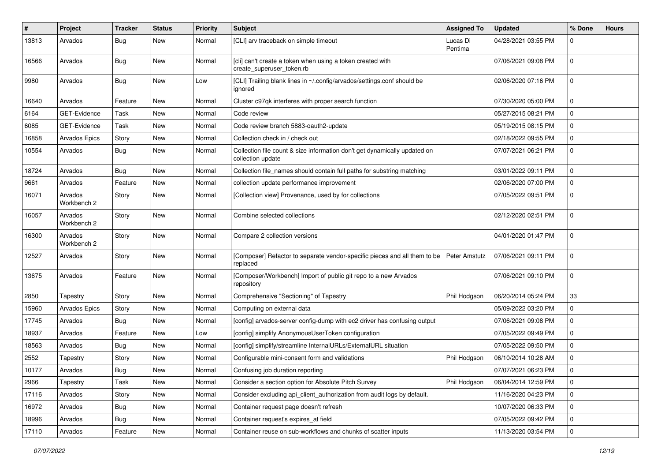| #     | Project                | <b>Tracker</b> | <b>Status</b> | <b>Priority</b> | <b>Subject</b>                                                                                 | <b>Assigned To</b>  | <b>Updated</b>      | % Done      | <b>Hours</b> |
|-------|------------------------|----------------|---------------|-----------------|------------------------------------------------------------------------------------------------|---------------------|---------------------|-------------|--------------|
| 13813 | Arvados                | Bug            | New           | Normal          | [CLI] arv traceback on simple timeout                                                          | Lucas Di<br>Pentima | 04/28/2021 03:55 PM | $\Omega$    |              |
| 16566 | Arvados                | Bug            | <b>New</b>    | Normal          | [cli] can't create a token when using a token created with<br>create_superuser_token.rb        |                     | 07/06/2021 09:08 PM | $\mathbf 0$ |              |
| 9980  | Arvados                | Bug            | New           | Low             | [CLI] Trailing blank lines in ~/.config/arvados/settings.conf should be<br>ignored             |                     | 02/06/2020 07:16 PM | 0           |              |
| 16640 | Arvados                | Feature        | <b>New</b>    | Normal          | Cluster c97qk interferes with proper search function                                           |                     | 07/30/2020 05:00 PM | $\mathbf 0$ |              |
| 6164  | GET-Evidence           | Task           | New           | Normal          | Code review                                                                                    |                     | 05/27/2015 08:21 PM | 0           |              |
| 6085  | GET-Evidence           | Task           | New           | Normal          | Code review branch 5883-oauth2-update                                                          |                     | 05/19/2015 08:15 PM | 0           |              |
| 16858 | <b>Arvados Epics</b>   | Story          | New           | Normal          | Collection check in / check out                                                                |                     | 02/18/2022 09:55 PM | 0           |              |
| 10554 | Arvados                | Bug            | New           | Normal          | Collection file count & size information don't get dynamically updated on<br>collection update |                     | 07/07/2021 06:21 PM | $\mathbf 0$ |              |
| 18724 | Arvados                | Bug            | <b>New</b>    | Normal          | Collection file_names should contain full paths for substring matching                         |                     | 03/01/2022 09:11 PM | 0           |              |
| 9661  | Arvados                | Feature        | New           | Normal          | collection update performance improvement                                                      |                     | 02/06/2020 07:00 PM | $\mathbf 0$ |              |
| 16071 | Arvados<br>Workbench 2 | Story          | New           | Normal          | [Collection view] Provenance, used by for collections                                          |                     | 07/05/2022 09:51 PM | $\mathbf 0$ |              |
| 16057 | Arvados<br>Workbench 2 | Story          | New           | Normal          | Combine selected collections                                                                   |                     | 02/12/2020 02:51 PM | $\Omega$    |              |
| 16300 | Arvados<br>Workbench 2 | Story          | New           | Normal          | Compare 2 collection versions                                                                  |                     | 04/01/2020 01:47 PM | $\mathbf 0$ |              |
| 12527 | Arvados                | Story          | New           | Normal          | [Composer] Refactor to separate vendor-specific pieces and all them to be<br>replaced          | Peter Amstutz       | 07/06/2021 09:11 PM | 0           |              |
| 13675 | Arvados                | Feature        | New           | Normal          | [Composer/Workbench] Import of public git repo to a new Arvados<br>repository                  |                     | 07/06/2021 09:10 PM | 0           |              |
| 2850  | Tapestry               | Story          | New           | Normal          | Comprehensive "Sectioning" of Tapestry                                                         | Phil Hodgson        | 06/20/2014 05:24 PM | 33          |              |
| 15960 | <b>Arvados Epics</b>   | Story          | New           | Normal          | Computing on external data                                                                     |                     | 05/09/2022 03:20 PM | 0           |              |
| 17745 | Arvados                | Bug            | New           | Normal          | [config] arvados-server config-dump with ec2 driver has confusing output                       |                     | 07/06/2021 09:08 PM | 0           |              |
| 18937 | Arvados                | Feature        | <b>New</b>    | Low             | [config] simplify AnonymousUserToken configuration                                             |                     | 07/05/2022 09:49 PM | 0           |              |
| 18563 | Arvados                | Bug            | New           | Normal          | [config] simplify/streamline InternalURLs/ExternalURL situation                                |                     | 07/05/2022 09:50 PM | 0           |              |
| 2552  | Tapestry               | Story          | New           | Normal          | Configurable mini-consent form and validations                                                 | Phil Hodgson        | 06/10/2014 10:28 AM | $\mathbf 0$ |              |
| 10177 | Arvados                | <b>Bug</b>     | New           | Normal          | Confusing job duration reporting                                                               |                     | 07/07/2021 06:23 PM | $\mathbf 0$ |              |
| 2966  | Tapestry               | Task           | New           | Normal          | Consider a section option for Absolute Pitch Survey                                            | Phil Hodgson        | 06/04/2014 12:59 PM | 0           |              |
| 17116 | Arvados                | Story          | New           | Normal          | Consider excluding api_client_authorization from audit logs by default.                        |                     | 11/16/2020 04:23 PM | 0           |              |
| 16972 | Arvados                | Bug            | New           | Normal          | Container request page doesn't refresh                                                         |                     | 10/07/2020 06:33 PM | 0           |              |
| 18996 | Arvados                | <b>Bug</b>     | New           | Normal          | Container request's expires at field                                                           |                     | 07/05/2022 09:42 PM | 0           |              |
| 17110 | Arvados                | Feature        | New           | Normal          | Container reuse on sub-workflows and chunks of scatter inputs                                  |                     | 11/13/2020 03:54 PM | $\pmb{0}$   |              |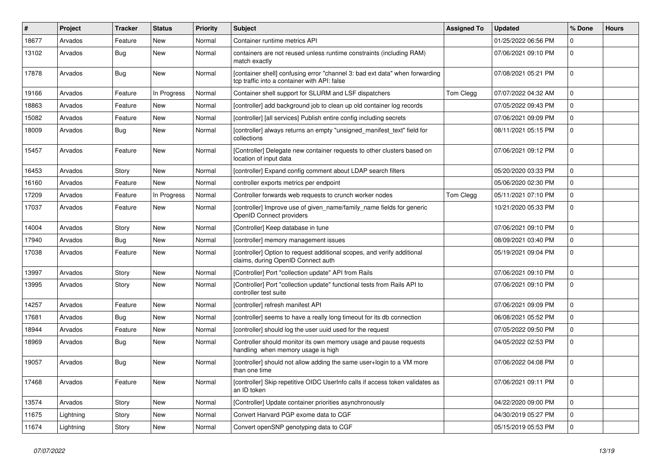| #     | Project   | <b>Tracker</b> | <b>Status</b> | <b>Priority</b> | <b>Subject</b>                                                                                                              | <b>Assigned To</b> | <b>Updated</b>      | % Done      | <b>Hours</b> |
|-------|-----------|----------------|---------------|-----------------|-----------------------------------------------------------------------------------------------------------------------------|--------------------|---------------------|-------------|--------------|
| 18677 | Arvados   | Feature        | New           | Normal          | Container runtime metrics API                                                                                               |                    | 01/25/2022 06:56 PM | $\Omega$    |              |
| 13102 | Arvados   | <b>Bug</b>     | New           | Normal          | containers are not reused unless runtime constraints (including RAM)<br>match exactly                                       |                    | 07/06/2021 09:10 PM | $\mathbf 0$ |              |
| 17878 | Arvados   | Bug            | New           | Normal          | [container shell] confusing error "channel 3: bad ext data" when forwarding<br>tcp traffic into a container with API: false |                    | 07/08/2021 05:21 PM | $\mathbf 0$ |              |
| 19166 | Arvados   | Feature        | In Progress   | Normal          | Container shell support for SLURM and LSF dispatchers                                                                       | Tom Clegg          | 07/07/2022 04:32 AM | $\mathbf 0$ |              |
| 18863 | Arvados   | Feature        | New           | Normal          | [controller] add background job to clean up old container log records                                                       |                    | 07/05/2022 09:43 PM | $\mathbf 0$ |              |
| 15082 | Arvados   | Feature        | New           | Normal          | [controller] [all services] Publish entire config including secrets                                                         |                    | 07/06/2021 09:09 PM | $\mathbf 0$ |              |
| 18009 | Arvados   | Bug            | New           | Normal          | [controller] always returns an empty "unsigned_manifest_text" field for<br>collections                                      |                    | 08/11/2021 05:15 PM | $\Omega$    |              |
| 15457 | Arvados   | Feature        | New           | Normal          | [Controller] Delegate new container requests to other clusters based on<br>location of input data                           |                    | 07/06/2021 09:12 PM | $\mathbf 0$ |              |
| 16453 | Arvados   | Story          | New           | Normal          | [controller] Expand config comment about LDAP search filters                                                                |                    | 05/20/2020 03:33 PM | $\mathbf 0$ |              |
| 16160 | Arvados   | Feature        | New           | Normal          | controller exports metrics per endpoint                                                                                     |                    | 05/06/2020 02:30 PM | $\mathbf 0$ |              |
| 17209 | Arvados   | Feature        | In Progress   | Normal          | Controller forwards web requests to crunch worker nodes                                                                     | Tom Clegg          | 05/11/2021 07:10 PM | $\mathbf 0$ |              |
| 17037 | Arvados   | Feature        | New           | Normal          | [controller] Improve use of given name/family name fields for generic<br>OpenID Connect providers                           |                    | 10/21/2020 05:33 PM | $\mathbf 0$ |              |
| 14004 | Arvados   | Story          | <b>New</b>    | Normal          | [Controller] Keep database in tune                                                                                          |                    | 07/06/2021 09:10 PM | $\mathbf 0$ |              |
| 17940 | Arvados   | Bug            | New           | Normal          | [controller] memory management issues                                                                                       |                    | 08/09/2021 03:40 PM | $\mathbf 0$ |              |
| 17038 | Arvados   | Feature        | New           | Normal          | [controller] Option to request additional scopes, and verify additional<br>claims, during OpenID Connect auth               |                    | 05/19/2021 09:04 PM | $\Omega$    |              |
| 13997 | Arvados   | Story          | New           | Normal          | [Controller] Port "collection update" API from Rails                                                                        |                    | 07/06/2021 09:10 PM | $\mathbf 0$ |              |
| 13995 | Arvados   | Story          | New           | Normal          | [Controller] Port "collection update" functional tests from Rails API to<br>controller test suite                           |                    | 07/06/2021 09:10 PM | $\mathbf 0$ |              |
| 14257 | Arvados   | Feature        | New           | Normal          | [controller] refresh manifest API                                                                                           |                    | 07/06/2021 09:09 PM | $\Omega$    |              |
| 17681 | Arvados   | Bug            | New           | Normal          | [controller] seems to have a really long timeout for its db connection                                                      |                    | 06/08/2021 05:52 PM | $\mathbf 0$ |              |
| 18944 | Arvados   | Feature        | New           | Normal          | [controller] should log the user uuid used for the request                                                                  |                    | 07/05/2022 09:50 PM | $\mathbf 0$ |              |
| 18969 | Arvados   | Bug            | New           | Normal          | Controller should monitor its own memory usage and pause requests<br>handling when memory usage is high                     |                    | 04/05/2022 02:53 PM | $\mathbf 0$ |              |
| 19057 | Arvados   | Bug            | New           | Normal          | [controller] should not allow adding the same user+login to a VM more<br>than one time                                      |                    | 07/06/2022 04:08 PM | $\mathbf 0$ |              |
| 17468 | Arvados   | Feature        | New           | Normal          | [controller] Skip repetitive OIDC UserInfo calls if access token validates as<br>an ID token                                |                    | 07/06/2021 09:11 PM | $\mathbf 0$ |              |
| 13574 | Arvados   | Story          | New           | Normal          | [Controller] Update container priorities asynchronously                                                                     |                    | 04/22/2020 09:00 PM | $\pmb{0}$   |              |
| 11675 | Lightning | Story          | New           | Normal          | Convert Harvard PGP exome data to CGF                                                                                       |                    | 04/30/2019 05:27 PM | $\mathbf 0$ |              |
| 11674 | Lightning | Story          | New           | Normal          | Convert openSNP genotyping data to CGF                                                                                      |                    | 05/15/2019 05:53 PM | $\mathbf 0$ |              |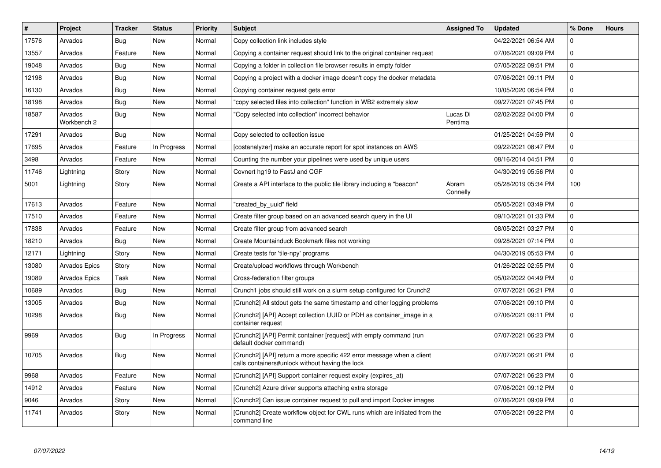| #     | Project                | <b>Tracker</b> | <b>Status</b> | Priority | <b>Subject</b>                                                                                                            | <b>Assigned To</b>  | <b>Updated</b>      | % Done      | <b>Hours</b> |
|-------|------------------------|----------------|---------------|----------|---------------------------------------------------------------------------------------------------------------------------|---------------------|---------------------|-------------|--------------|
| 17576 | Arvados                | Bug            | New           | Normal   | Copy collection link includes style                                                                                       |                     | 04/22/2021 06:54 AM | $\Omega$    |              |
| 13557 | Arvados                | Feature        | <b>New</b>    | Normal   | Copying a container request should link to the original container request                                                 |                     | 07/06/2021 09:09 PM | $\mathbf 0$ |              |
| 19048 | Arvados                | Bug            | <b>New</b>    | Normal   | Copying a folder in collection file browser results in empty folder                                                       |                     | 07/05/2022 09:51 PM | $\mathbf 0$ |              |
| 12198 | Arvados                | Bug            | <b>New</b>    | Normal   | Copying a project with a docker image doesn't copy the docker metadata                                                    |                     | 07/06/2021 09:11 PM | $\pmb{0}$   |              |
| 16130 | Arvados                | <b>Bug</b>     | <b>New</b>    | Normal   | Copying container request gets error                                                                                      |                     | 10/05/2020 06:54 PM | $\mathbf 0$ |              |
| 18198 | Arvados                | Bug            | <b>New</b>    | Normal   | 'copy selected files into collection" function in WB2 extremely slow                                                      |                     | 09/27/2021 07:45 PM | $\pmb{0}$   |              |
| 18587 | Arvados<br>Workbench 2 | <b>Bug</b>     | <b>New</b>    | Normal   | 'Copy selected into collection" incorrect behavior                                                                        | Lucas Di<br>Pentima | 02/02/2022 04:00 PM | $\mathbf 0$ |              |
| 17291 | Arvados                | Bug            | <b>New</b>    | Normal   | Copy selected to collection issue                                                                                         |                     | 01/25/2021 04:59 PM | $\mathbf 0$ |              |
| 17695 | Arvados                | Feature        | In Progress   | Normal   | [costanalyzer] make an accurate report for spot instances on AWS                                                          |                     | 09/22/2021 08:47 PM | $\Omega$    |              |
| 3498  | Arvados                | Feature        | <b>New</b>    | Normal   | Counting the number your pipelines were used by unique users                                                              |                     | 08/16/2014 04:51 PM | $\mathbf 0$ |              |
| 11746 | Lightning              | Story          | <b>New</b>    | Normal   | Covnert hg19 to FastJ and CGF                                                                                             |                     | 04/30/2019 05:56 PM | $\Omega$    |              |
| 5001  | Lightning              | Story          | New           | Normal   | Create a API interface to the public tile library including a "beacon"                                                    | Abram<br>Connelly   | 05/28/2019 05:34 PM | 100         |              |
| 17613 | Arvados                | Feature        | New           | Normal   | "created by uuid" field                                                                                                   |                     | 05/05/2021 03:49 PM | $\Omega$    |              |
| 17510 | Arvados                | Feature        | <b>New</b>    | Normal   | Create filter group based on an advanced search query in the UI                                                           |                     | 09/10/2021 01:33 PM | $\mathbf 0$ |              |
| 17838 | Arvados                | Feature        | New           | Normal   | Create filter group from advanced search                                                                                  |                     | 08/05/2021 03:27 PM | $\mathbf 0$ |              |
| 18210 | Arvados                | Bug            | <b>New</b>    | Normal   | Create Mountainduck Bookmark files not working                                                                            |                     | 09/28/2021 07:14 PM | $\mathbf 0$ |              |
| 12171 | Lightning              | Story          | <b>New</b>    | Normal   | Create tests for 'tile-npy' programs                                                                                      |                     | 04/30/2019 05:53 PM | $\mathbf 0$ |              |
| 13080 | Arvados Epics          | Story          | <b>New</b>    | Normal   | Create/upload workflows through Workbench                                                                                 |                     | 01/26/2022 02:55 PM | $\mathbf 0$ |              |
| 19089 | <b>Arvados Epics</b>   | Task           | <b>New</b>    | Normal   | Cross-federation filter groups                                                                                            |                     | 05/02/2022 04:49 PM | 0           |              |
| 10689 | Arvados                | Bug            | New           | Normal   | Crunch1 jobs should still work on a slurm setup configured for Crunch2                                                    |                     | 07/07/2021 06:21 PM | $\mathbf 0$ |              |
| 13005 | Arvados                | Bug            | <b>New</b>    | Normal   | [Crunch2] All stdout gets the same timestamp and other logging problems                                                   |                     | 07/06/2021 09:10 PM | $\mathbf 0$ |              |
| 10298 | Arvados                | Bug            | New           | Normal   | [Crunch2] [API] Accept collection UUID or PDH as container image in a<br>container request                                |                     | 07/06/2021 09:11 PM | $\mathbf 0$ |              |
| 9969  | Arvados                | Bug            | In Progress   | Normal   | [Crunch2] [API] Permit container [request] with empty command (run<br>default docker command)                             |                     | 07/07/2021 06:23 PM | $\Omega$    |              |
| 10705 | Arvados                | Bug            | New           | Normal   | [Crunch2] [API] return a more specific 422 error message when a client<br>calls containers#unlock without having the lock |                     | 07/07/2021 06:21 PM | $\mathbf 0$ |              |
| 9968  | Arvados                | Feature        | New           | Normal   | [Crunch2] [API] Support container request expiry (expires_at)                                                             |                     | 07/07/2021 06:23 PM | $\Omega$    |              |
| 14912 | Arvados                | Feature        | <b>New</b>    | Normal   | [Crunch2] Azure driver supports attaching extra storage                                                                   |                     | 07/06/2021 09:12 PM | $\mathbf 0$ |              |
| 9046  | Arvados                | Story          | <b>New</b>    | Normal   | [Crunch2] Can issue container request to pull and import Docker images                                                    |                     | 07/06/2021 09:09 PM | $\pmb{0}$   |              |
| 11741 | Arvados                | Story          | New           | Normal   | [Crunch2] Create workflow object for CWL runs which are initiated from the<br>command line                                |                     | 07/06/2021 09:22 PM | $\Omega$    |              |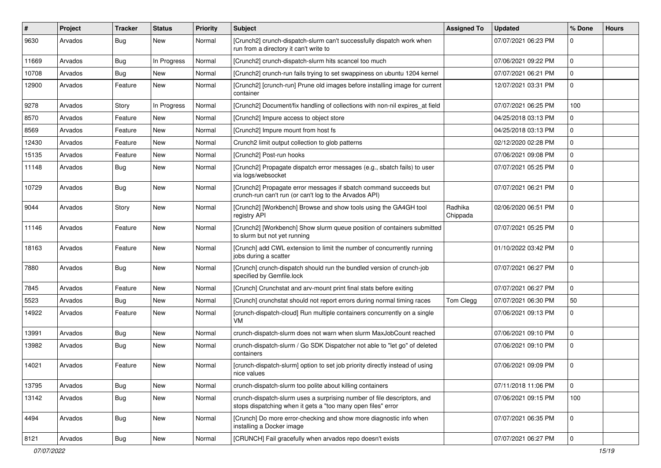| $\#$  | Project | <b>Tracker</b> | <b>Status</b> | <b>Priority</b> | <b>Subject</b>                                                                                                                          | <b>Assigned To</b>  | <b>Updated</b>      | % Done      | <b>Hours</b> |
|-------|---------|----------------|---------------|-----------------|-----------------------------------------------------------------------------------------------------------------------------------------|---------------------|---------------------|-------------|--------------|
| 9630  | Arvados | <b>Bug</b>     | New           | Normal          | [Crunch2] crunch-dispatch-slurm can't successfully dispatch work when<br>run from a directory it can't write to                         |                     | 07/07/2021 06:23 PM | $\Omega$    |              |
| 11669 | Arvados | Bug            | In Progress   | Normal          | [Crunch2] crunch-dispatch-slurm hits scancel too much                                                                                   |                     | 07/06/2021 09:22 PM | $\Omega$    |              |
| 10708 | Arvados | Bug            | New           | Normal          | [Crunch2] crunch-run fails trying to set swappiness on ubuntu 1204 kernel                                                               |                     | 07/07/2021 06:21 PM | $\Omega$    |              |
| 12900 | Arvados | Feature        | New           | Normal          | [Crunch2] [crunch-run] Prune old images before installing image for current<br>container                                                |                     | 12/07/2021 03:31 PM | $\mathbf 0$ |              |
| 9278  | Arvados | Story          | In Progress   | Normal          | [Crunch2] Document/fix handling of collections with non-nil expires_at field                                                            |                     | 07/07/2021 06:25 PM | 100         |              |
| 8570  | Arvados | Feature        | New           | Normal          | [Crunch2] Impure access to object store                                                                                                 |                     | 04/25/2018 03:13 PM | 0           |              |
| 8569  | Arvados | Feature        | New           | Normal          | [Crunch2] Impure mount from host fs                                                                                                     |                     | 04/25/2018 03:13 PM | $\Omega$    |              |
| 12430 | Arvados | Feature        | New           | Normal          | Crunch2 limit output collection to glob patterns                                                                                        |                     | 02/12/2020 02:28 PM | $\mathbf 0$ |              |
| 15135 | Arvados | Feature        | New           | Normal          | [Crunch2] Post-run hooks                                                                                                                |                     | 07/06/2021 09:08 PM | $\mathbf 0$ |              |
| 11148 | Arvados | <b>Bug</b>     | New           | Normal          | [Crunch2] Propagate dispatch error messages (e.g., sbatch fails) to user<br>via logs/websocket                                          |                     | 07/07/2021 05:25 PM | $\Omega$    |              |
| 10729 | Arvados | Bug            | New           | Normal          | [Crunch2] Propagate error messages if sbatch command succeeds but<br>crunch-run can't run (or can't log to the Arvados API)             |                     | 07/07/2021 06:21 PM | $\Omega$    |              |
| 9044  | Arvados | Story          | New           | Normal          | [Crunch2] [Workbench] Browse and show tools using the GA4GH tool<br>registry API                                                        | Radhika<br>Chippada | 02/06/2020 06:51 PM | $\mathbf 0$ |              |
| 11146 | Arvados | Feature        | New           | Normal          | [Crunch2] [Workbench] Show slurm queue position of containers submitted<br>to slurm but not yet running                                 |                     | 07/07/2021 05:25 PM | $\Omega$    |              |
| 18163 | Arvados | Feature        | New           | Normal          | [Crunch] add CWL extension to limit the number of concurrently running<br>jobs during a scatter                                         |                     | 01/10/2022 03:42 PM | $\mathbf 0$ |              |
| 7880  | Arvados | Bug            | New           | Normal          | [Crunch] crunch-dispatch should run the bundled version of crunch-job<br>specified by Gemfile.lock                                      |                     | 07/07/2021 06:27 PM | $\mathbf 0$ |              |
| 7845  | Arvados | Feature        | New           | Normal          | [Crunch] Crunchstat and arv-mount print final stats before exiting                                                                      |                     | 07/07/2021 06:27 PM | $\mathbf 0$ |              |
| 5523  | Arvados | Bug            | New           | Normal          | [Crunch] crunchstat should not report errors during normal timing races                                                                 | Tom Clegg           | 07/07/2021 06:30 PM | 50          |              |
| 14922 | Arvados | Feature        | New           | Normal          | [crunch-dispatch-cloud] Run multiple containers concurrently on a single<br>VM                                                          |                     | 07/06/2021 09:13 PM | $\mathbf 0$ |              |
| 13991 | Arvados | Bug            | New           | Normal          | crunch-dispatch-slurm does not warn when slurm MaxJobCount reached                                                                      |                     | 07/06/2021 09:10 PM | $\Omega$    |              |
| 13982 | Arvados | <b>Bug</b>     | New           | Normal          | crunch-dispatch-slurm / Go SDK Dispatcher not able to "let go" of deleted<br>containers                                                 |                     | 07/06/2021 09:10 PM | $\Omega$    |              |
| 14021 | Arvados | Feature        | New           | Normal          | [crunch-dispatch-slurm] option to set job priority directly instead of using<br>nice values                                             |                     | 07/06/2021 09:09 PM | $\mathbf 0$ |              |
| 13795 | Arvados | <b>Bug</b>     | New           | Normal          | crunch-dispatch-slurm too polite about killing containers                                                                               |                     | 07/11/2018 11:06 PM | $\mathbf 0$ |              |
| 13142 | Arvados | <b>Bug</b>     | New           | Normal          | crunch-dispatch-slurm uses a surprising number of file descriptors, and<br>stops dispatching when it gets a "too many open files" error |                     | 07/06/2021 09:15 PM | 100         |              |
| 4494  | Arvados | <b>Bug</b>     | New           | Normal          | [Crunch] Do more error-checking and show more diagnostic info when<br>installing a Docker image                                         |                     | 07/07/2021 06:35 PM | $\mathbf 0$ |              |
| 8121  | Arvados | Bug            | New           | Normal          | [CRUNCH] Fail gracefully when arvados repo doesn't exists                                                                               |                     | 07/07/2021 06:27 PM | 0           |              |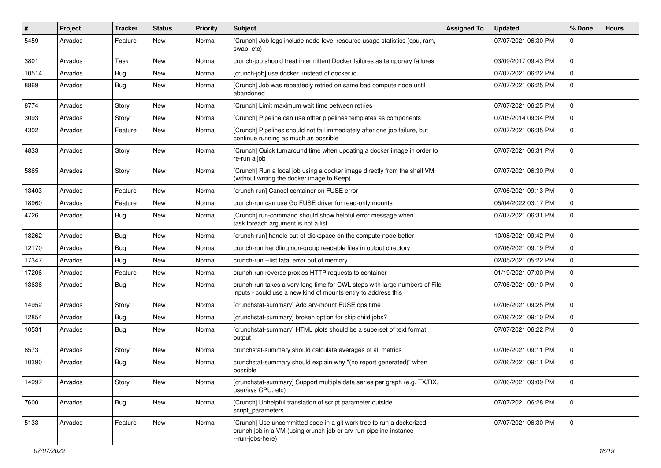| ∦     | Project | <b>Tracker</b> | <b>Status</b> | <b>Priority</b> | <b>Subject</b>                                                                                                                                                | <b>Assigned To</b> | <b>Updated</b>      | % Done      | <b>Hours</b> |
|-------|---------|----------------|---------------|-----------------|---------------------------------------------------------------------------------------------------------------------------------------------------------------|--------------------|---------------------|-------------|--------------|
| 5459  | Arvados | Feature        | New           | Normal          | [Crunch] Job logs include node-level resource usage statistics (cpu, ram,<br>swap, etc)                                                                       |                    | 07/07/2021 06:30 PM | 0           |              |
| 3801  | Arvados | Task           | <b>New</b>    | Normal          | crunch-job should treat intermittent Docker failures as temporary failures                                                                                    |                    | 03/09/2017 09:43 PM | $\mathbf 0$ |              |
| 10514 | Arvados | Bug            | New           | Normal          | [crunch-job] use docker instead of docker.io                                                                                                                  |                    | 07/07/2021 06:22 PM | $\Omega$    |              |
| 8869  | Arvados | <b>Bug</b>     | New           | Normal          | [Crunch] Job was repeatedly retried on same bad compute node until<br>abandoned                                                                               |                    | 07/07/2021 06:25 PM | $\mathbf 0$ |              |
| 8774  | Arvados | Story          | New           | Normal          | [Crunch] Limit maximum wait time between retries                                                                                                              |                    | 07/07/2021 06:25 PM | $\Omega$    |              |
| 3093  | Arvados | Story          | New           | Normal          | [Crunch] Pipeline can use other pipelines templates as components                                                                                             |                    | 07/05/2014 09:34 PM | 0           |              |
| 4302  | Arvados | Feature        | New           | Normal          | [Crunch] Pipelines should not fail immediately after one job failure, but<br>continue running as much as possible                                             |                    | 07/07/2021 06:35 PM | $\mathbf 0$ |              |
| 4833  | Arvados | Story          | New           | Normal          | [Crunch] Quick turnaround time when updating a docker image in order to<br>re-run a job                                                                       |                    | 07/07/2021 06:31 PM | $\mathbf 0$ |              |
| 5865  | Arvados | Story          | New           | Normal          | [Crunch] Run a local job using a docker image directly from the shell VM<br>(without writing the docker image to Keep)                                        |                    | 07/07/2021 06:30 PM | $\mathbf 0$ |              |
| 13403 | Arvados | Feature        | New           | Normal          | [crunch-run] Cancel container on FUSE error                                                                                                                   |                    | 07/06/2021 09:13 PM | $\mathbf 0$ |              |
| 18960 | Arvados | Feature        | <b>New</b>    | Normal          | crunch-run can use Go FUSE driver for read-only mounts                                                                                                        |                    | 05/04/2022 03:17 PM | $\mathbf 0$ |              |
| 4726  | Arvados | Bug            | New           | Normal          | [Crunch] run-command should show helpful error message when<br>task.foreach argument is not a list                                                            |                    | 07/07/2021 06:31 PM | $\mathbf 0$ |              |
| 18262 | Arvados | Bug            | New           | Normal          | [crunch-run] handle out-of-diskspace on the compute node better                                                                                               |                    | 10/08/2021 09:42 PM | 0           |              |
| 12170 | Arvados | Bug            | New           | Normal          | crunch-run handling non-group readable files in output directory                                                                                              |                    | 07/06/2021 09:19 PM | $\mathbf 0$ |              |
| 17347 | Arvados | Bug            | <b>New</b>    | Normal          | crunch-run -- list fatal error out of memory                                                                                                                  |                    | 02/05/2021 05:22 PM | $\mathbf 0$ |              |
| 17206 | Arvados | Feature        | New           | Normal          | crunch-run reverse proxies HTTP requests to container                                                                                                         |                    | 01/19/2021 07:00 PM | $\Omega$    |              |
| 13636 | Arvados | Bug            | New           | Normal          | crunch-run takes a very long time for CWL steps with large numbers of File<br>inputs - could use a new kind of mounts entry to address this                   |                    | 07/06/2021 09:10 PM | $\mathbf 0$ |              |
| 14952 | Arvados | Story          | New           | Normal          | [crunchstat-summary] Add arv-mount FUSE ops time                                                                                                              |                    | 07/06/2021 09:25 PM | $\Omega$    |              |
| 12854 | Arvados | Bug            | <b>New</b>    | Normal          | [crunchstat-summary] broken option for skip child jobs?                                                                                                       |                    | 07/06/2021 09:10 PM | $\mathbf 0$ |              |
| 10531 | Arvados | Bug            | New           | Normal          | [crunchstat-summary] HTML plots should be a superset of text format<br>output                                                                                 |                    | 07/07/2021 06:22 PM | $\mathbf 0$ |              |
| 8573  | Arvados | Story          | New           | Normal          | crunchstat-summary should calculate averages of all metrics                                                                                                   |                    | 07/06/2021 09:11 PM | $\mathbf 0$ |              |
| 10390 | Arvados | Bug            | New           | Normal          | crunchstat-summary should explain why "(no report generated)" when<br>possible                                                                                |                    | 07/06/2021 09:11 PM | $\Omega$    |              |
| 14997 | Arvados | Story          | New           | Normal          | [crunchstat-summary] Support multiple data series per graph (e.g. TX/RX,<br>user/sys CPU, etc)                                                                |                    | 07/06/2021 09:09 PM | 0           |              |
| 7600  | Arvados | <b>Bug</b>     | New           | Normal          | [Crunch] Unhelpful translation of script parameter outside<br>script parameters                                                                               |                    | 07/07/2021 06:28 PM | $\pmb{0}$   |              |
| 5133  | Arvados | Feature        | New           | Normal          | [Crunch] Use uncommitted code in a git work tree to run a dockerized<br>crunch job in a VM (using crunch-job or arv-run-pipeline-instance<br>--run-jobs-here) |                    | 07/07/2021 06:30 PM | $\mathbf 0$ |              |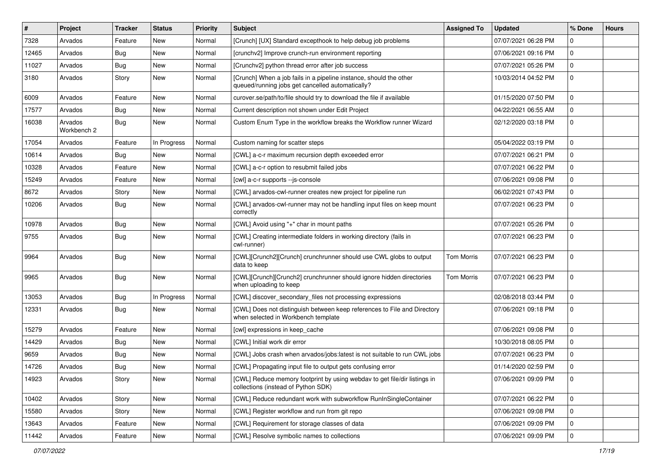| $\vert$ # | Project                | <b>Tracker</b> | <b>Status</b> | <b>Priority</b> | <b>Subject</b>                                                                                                         | <b>Assigned To</b> | <b>Updated</b>      | % Done      | <b>Hours</b> |
|-----------|------------------------|----------------|---------------|-----------------|------------------------------------------------------------------------------------------------------------------------|--------------------|---------------------|-------------|--------------|
| 7328      | Arvados                | Feature        | New           | Normal          | [Crunch] [UX] Standard excepthook to help debug job problems                                                           |                    | 07/07/2021 06:28 PM | $\Omega$    |              |
| 12465     | Arvados                | Bug            | New           | Normal          | [crunchv2] Improve crunch-run environment reporting                                                                    |                    | 07/06/2021 09:16 PM | $\mathbf 0$ |              |
| 11027     | Arvados                | Bug            | New           | Normal          | [Crunchv2] python thread error after job success                                                                       |                    | 07/07/2021 05:26 PM | 0           |              |
| 3180      | Arvados                | Story          | New           | Normal          | [Crunch] When a job fails in a pipeline instance, should the other<br>queued/running jobs get cancelled automatically? |                    | 10/03/2014 04:52 PM | 0           |              |
| 6009      | Arvados                | Feature        | New           | Normal          | curover.se/path/to/file should try to download the file if available                                                   |                    | 01/15/2020 07:50 PM | $\Omega$    |              |
| 17577     | Arvados                | Bug            | New           | Normal          | Current description not shown under Edit Project                                                                       |                    | 04/22/2021 06:55 AM | 0           |              |
| 16038     | Arvados<br>Workbench 2 | <b>Bug</b>     | New           | Normal          | Custom Enum Type in the workflow breaks the Workflow runner Wizard                                                     |                    | 02/12/2020 03:18 PM | 0           |              |
| 17054     | Arvados                | Feature        | In Progress   | Normal          | Custom naming for scatter steps                                                                                        |                    | 05/04/2022 03:19 PM | $\mathbf 0$ |              |
| 10614     | Arvados                | <b>Bug</b>     | New           | Normal          | [CWL] a-c-r maximum recursion depth exceeded error                                                                     |                    | 07/07/2021 06:21 PM | 0           |              |
| 10328     | Arvados                | Feature        | New           | Normal          | [CWL] a-c-r option to resubmit failed jobs                                                                             |                    | 07/07/2021 06:22 PM | 0           |              |
| 15249     | Arvados                | Feature        | New           | Normal          | [cwl] a-c-r supports --js-console                                                                                      |                    | 07/06/2021 09:08 PM | 0           |              |
| 8672      | Arvados                | Story          | New           | Normal          | [CWL] arvados-cwl-runner creates new project for pipeline run                                                          |                    | 06/02/2021 07:43 PM | $\mathbf 0$ |              |
| 10206     | Arvados                | Bug            | <b>New</b>    | Normal          | [CWL] arvados-cwl-runner may not be handling input files on keep mount<br>correctly                                    |                    | 07/07/2021 06:23 PM | $\mathbf 0$ |              |
| 10978     | Arvados                | Bug            | <b>New</b>    | Normal          | [CWL] Avoid using "+" char in mount paths                                                                              |                    | 07/07/2021 05:26 PM | $\mathbf 0$ |              |
| 9755      | Arvados                | <b>Bug</b>     | New           | Normal          | [CWL] Creating intermediate folders in working directory (fails in<br>cwl-runner)                                      |                    | 07/07/2021 06:23 PM | 0           |              |
| 9964      | Arvados                | Bug            | New           | Normal          | [CWL][Crunch2][Crunch] crunchrunner should use CWL globs to output<br>data to keep                                     | <b>Tom Morris</b>  | 07/07/2021 06:23 PM | $\mathbf 0$ |              |
| 9965      | Arvados                | Bug            | New           | Normal          | [CWL][Crunch][Crunch2] crunchrunner should ignore hidden directories<br>when uploading to keep                         | <b>Tom Morris</b>  | 07/07/2021 06:23 PM | 0           |              |
| 13053     | Arvados                | Bug            | In Progress   | Normal          | [CWL] discover_secondary_files not processing expressions                                                              |                    | 02/08/2018 03:44 PM | 0           |              |
| 12331     | Arvados                | Bug            | New           | Normal          | [CWL] Does not distinguish between keep references to File and Directory<br>when selected in Workbench template        |                    | 07/06/2021 09:18 PM | $\mathbf 0$ |              |
| 15279     | Arvados                | Feature        | New           | Normal          | [cwl] expressions in keep_cache                                                                                        |                    | 07/06/2021 09:08 PM | 0           |              |
| 14429     | Arvados                | Bug            | New           | Normal          | [CWL] Initial work dir error                                                                                           |                    | 10/30/2018 08:05 PM | $\mathbf 0$ |              |
| 9659      | Arvados                | Bug            | New           | Normal          | [CWL] Jobs crash when arvados/jobs:latest is not suitable to run CWL jobs                                              |                    | 07/07/2021 06:23 PM | 0           |              |
| 14726     | Arvados                | Bug            | New           | Normal          | [CWL] Propagating input file to output gets confusing error                                                            |                    | 01/14/2020 02:59 PM | 0           |              |
| 14923     | Arvados                | Story          | New           | Normal          | [CWL] Reduce memory footprint by using webdav to get file/dir listings in<br>collections (instead of Python SDK)       |                    | 07/06/2021 09:09 PM | $\mathbf 0$ |              |
| 10402     | Arvados                | Story          | New           | Normal          | [CWL] Reduce redundant work with subworkflow RunInSingleContainer                                                      |                    | 07/07/2021 06:22 PM | $\mathbf 0$ |              |
| 15580     | Arvados                | Story          | New           | Normal          | [CWL] Register workflow and run from git repo                                                                          |                    | 07/06/2021 09:08 PM | $\mathbf 0$ |              |
| 13643     | Arvados                | Feature        | New           | Normal          | [CWL] Requirement for storage classes of data                                                                          |                    | 07/06/2021 09:09 PM | 0           |              |
| 11442     | Arvados                | Feature        | New           | Normal          | [CWL] Resolve symbolic names to collections                                                                            |                    | 07/06/2021 09:09 PM | $\pmb{0}$   |              |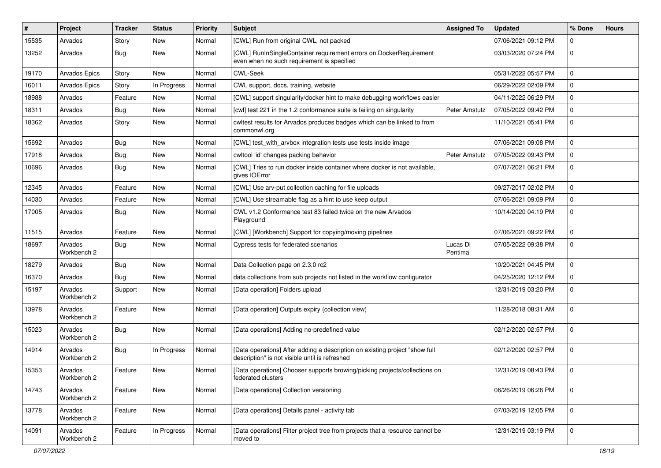| #     | Project                | <b>Tracker</b> | <b>Status</b> | <b>Priority</b> | <b>Subject</b>                                                                                                                | <b>Assigned To</b>  | <b>Updated</b>      | % Done      | <b>Hours</b> |
|-------|------------------------|----------------|---------------|-----------------|-------------------------------------------------------------------------------------------------------------------------------|---------------------|---------------------|-------------|--------------|
| 15535 | Arvados                | Story          | New           | Normal          | [CWL] Run from original CWL, not packed                                                                                       |                     | 07/06/2021 09:12 PM | $\Omega$    |              |
| 13252 | Arvados                | <b>Bug</b>     | New           | Normal          | [CWL] RunInSingleContainer requirement errors on DockerRequirement<br>even when no such requirement is specified              |                     | 03/03/2020 07:24 PM | $\mathbf 0$ |              |
| 19170 | Arvados Epics          | Story          | New           | Normal          | <b>CWL-Seek</b>                                                                                                               |                     | 05/31/2022 05:57 PM | $\Omega$    |              |
| 16011 | <b>Arvados Epics</b>   | Story          | In Progress   | Normal          | CWL support, docs, training, website                                                                                          |                     | 06/29/2022 02:09 PM | $\mathbf 0$ |              |
| 18988 | Arvados                | Feature        | New           | Normal          | [CWL] support singularity/docker hint to make debugging workflows easier                                                      |                     | 04/11/2022 06:29 PM | $\mathbf 0$ |              |
| 18311 | Arvados                | Bug            | New           | Normal          | [cwl] test 221 in the 1.2 conformance suite is failing on singularity                                                         | Peter Amstutz       | 07/05/2022 09:42 PM | $\mathbf 0$ |              |
| 18362 | Arvados                | Story          | New           | Normal          | cwltest results for Arvados produces badges which can be linked to from<br>commonwl.org                                       |                     | 11/10/2021 05:41 PM | 0           |              |
| 15692 | Arvados                | Bug            | <b>New</b>    | Normal          | [CWL] test_with_arvbox integration tests use tests inside image                                                               |                     | 07/06/2021 09:08 PM | $\mathbf 0$ |              |
| 17918 | Arvados                | Bug            | New           | Normal          | cwltool 'id' changes packing behavior                                                                                         | Peter Amstutz       | 07/05/2022 09:43 PM | $\mathbf 0$ |              |
| 10696 | Arvados                | Bug            | New           | Normal          | [CWL] Tries to run docker inside container where docker is not available,<br>gives IOError                                    |                     | 07/07/2021 06:21 PM | $\mathbf 0$ |              |
| 12345 | Arvados                | Feature        | New           | Normal          | [CWL] Use arv-put collection caching for file uploads                                                                         |                     | 09/27/2017 02:02 PM | $\Omega$    |              |
| 14030 | Arvados                | Feature        | New           | Normal          | [CWL] Use streamable flag as a hint to use keep output                                                                        |                     | 07/06/2021 09:09 PM | $\mathbf 0$ |              |
| 17005 | Arvados                | Bug            | New           | Normal          | CWL v1.2 Conformance test 83 failed twice on the new Arvados<br>Playground                                                    |                     | 10/14/2020 04:19 PM | 0           |              |
| 11515 | Arvados                | Feature        | New           | Normal          | [CWL] [Workbench] Support for copying/moving pipelines                                                                        |                     | 07/06/2021 09:22 PM | $\mathbf 0$ |              |
| 18697 | Arvados<br>Workbench 2 | Bug            | New           | Normal          | Cypress tests for federated scenarios                                                                                         | Lucas Di<br>Pentima | 07/05/2022 09:38 PM | 0           |              |
| 18279 | Arvados                | Bug            | <b>New</b>    | Normal          | Data Collection page on 2.3.0 rc2                                                                                             |                     | 10/20/2021 04:45 PM | $\mathbf 0$ |              |
| 16370 | Arvados                | Bug            | New           | Normal          | data collections from sub projects not listed in the workflow configurator                                                    |                     | 04/25/2020 12:12 PM | $\mathbf 0$ |              |
| 15197 | Arvados<br>Workbench 2 | Support        | New           | Normal          | [Data operation] Folders upload                                                                                               |                     | 12/31/2019 03:20 PM | $\Omega$    |              |
| 13978 | Arvados<br>Workbench 2 | Feature        | New           | Normal          | [Data operation] Outputs expiry (collection view)                                                                             |                     | 11/28/2018 08:31 AM | $\mathbf 0$ |              |
| 15023 | Arvados<br>Workbench 2 | Bug            | New           | Normal          | [Data operations] Adding no-predefined value                                                                                  |                     | 02/12/2020 02:57 PM | 0           |              |
| 14914 | Arvados<br>Workbench 2 | <b>Bug</b>     | In Progress   | Normal          | [Data operations] After adding a description on existing project "show full<br>description" is not visible until is refreshed |                     | 02/12/2020 02:57 PM | 0           |              |
| 15353 | Arvados<br>Workbench 2 | Feature        | New           | Normal          | [Data operations] Chooser supports browing/picking projects/collections on<br>federated clusters                              |                     | 12/31/2019 08:43 PM | 0           |              |
| 14743 | Arvados<br>Workbench 2 | Feature        | New           | Normal          | [Data operations] Collection versioning                                                                                       |                     | 06/26/2019 06:26 PM | 0           |              |
| 13778 | Arvados<br>Workbench 2 | Feature        | New           | Normal          | [Data operations] Details panel - activity tab                                                                                |                     | 07/03/2019 12:05 PM | $\pmb{0}$   |              |
| 14091 | Arvados<br>Workbench 2 | Feature        | In Progress   | Normal          | [Data operations] Filter project tree from projects that a resource cannot be<br>moved to                                     |                     | 12/31/2019 03:19 PM | $\mathbf 0$ |              |